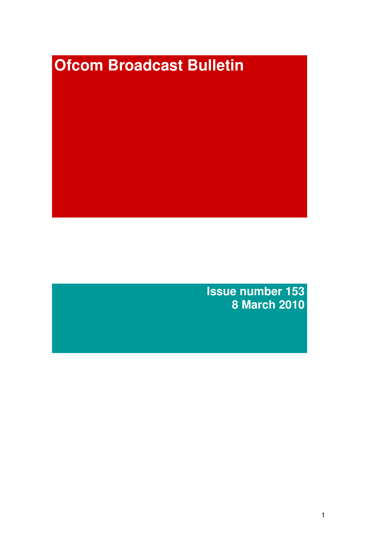# **Ofcom Broadcast Bulletin**

**Issue number 153 8 March 2010**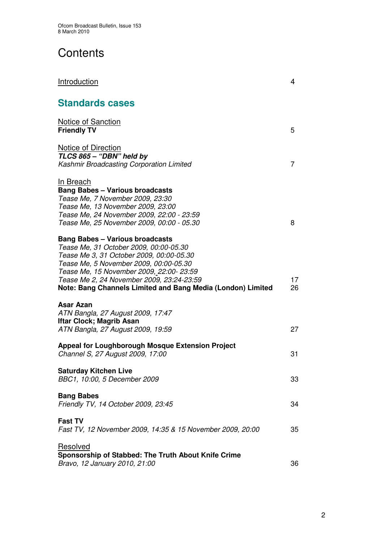# **Contents**

| <b>Introduction</b>                                                                                                                                                                                                                                                                                                           | 4        |
|-------------------------------------------------------------------------------------------------------------------------------------------------------------------------------------------------------------------------------------------------------------------------------------------------------------------------------|----------|
| <b>Standards cases</b>                                                                                                                                                                                                                                                                                                        |          |
| <b>Notice of Sanction</b><br><b>Friendly TV</b>                                                                                                                                                                                                                                                                               | 5        |
| <b>Notice of Direction</b><br>TLCS 865 - "DBN" held by<br>Kashmir Broadcasting Corporation Limited                                                                                                                                                                                                                            | 7        |
| In Breach<br><b>Bang Babes - Various broadcasts</b><br>Tease Me, 7 November 2009, 23:30<br>Tease Me, 13 November 2009, 23:00<br>Tease Me, 24 November 2009, 22:00 - 23:59<br>Tease Me, 25 November 2009, 00:00 - 05.30                                                                                                        | 8        |
| <b>Bang Babes - Various broadcasts</b><br>Tease Me, 31 October 2009, 00:00-05.30<br>Tease Me 3, 31 October 2009, 00:00-05.30<br>Tease Me, 5 November 2009, 00:00-05.30<br>Tease Me, 15 November 2009, 22:00-23:59<br>Tease Me 2, 24 November 2009, 23:24-23:59<br>Note: Bang Channels Limited and Bang Media (London) Limited | 17<br>26 |
| Asar Azan<br>ATN Bangla, 27 August 2009, 17:47<br><b>Iftar Clock; Magrib Asan</b><br>ATN Bangla, 27 August 2009, 19:59<br><b>Appeal for Loughborough Mosque Extension Project</b>                                                                                                                                             | 27       |
| Channel S, 27 August 2009, 17:00<br><b>Saturday Kitchen Live</b><br>BBC1, 10:00, 5 December 2009                                                                                                                                                                                                                              | 31<br>33 |
| <b>Bang Babes</b><br>Friendly TV, 14 October 2009, 23:45                                                                                                                                                                                                                                                                      | 34       |
| <b>Fast TV</b><br>Fast TV, 12 November 2009, 14:35 & 15 November 2009, 20:00                                                                                                                                                                                                                                                  | 35       |
| Resolved<br>Sponsorship of Stabbed: The Truth About Knife Crime<br>Bravo, 12 January 2010, 21:00                                                                                                                                                                                                                              | 36       |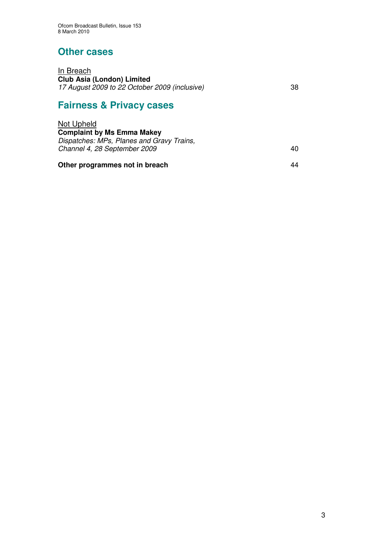## **Other cases**

<u>In Breach</u> **Club Asia (London) Limited** *17 August 2009 to 22 October 2009 (inclusive)* 38

# **Fairness & Privacy cases**

| Other programmes not in breach                                            | 44  |
|---------------------------------------------------------------------------|-----|
| Dispatches: MPs, Planes and Gravy Trains,<br>Channel 4, 28 September 2009 | 40. |
|                                                                           |     |
| Not Upheld<br><b>Complaint by Ms Emma Makey</b>                           |     |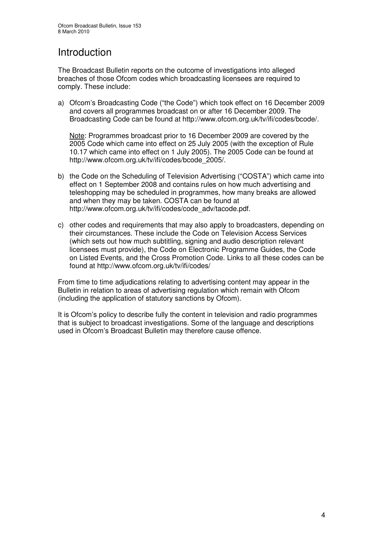# Introduction

The Broadcast Bulletin reports on the outcome of investigations into alleged breaches of those Ofcom codes which broadcasting licensees are required to comply. These include:

a) Ofcom's Broadcasting Code ("the Code") which took effect on 16 December 2009 and covers all programmes broadcast on or after 16 December 2009. The Broadcasting Code can be found at http://www.ofcom.org.uk/tv/ifi/codes/bcode/.

Note: Programmes broadcast prior to 16 December 2009 are covered by the 2005 Code which came into effect on 25 July 2005 (with the exception of Rule 10.17 which came into effect on 1 July 2005). The 2005 Code can be found at http://www.ofcom.org.uk/tv/ifi/codes/bcode\_2005/.

- b) the Code on the Scheduling of Television Advertising ("COSTA") which came into effect on 1 September 2008 and contains rules on how much advertising and teleshopping may be scheduled in programmes, how many breaks are allowed and when they may be taken. COSTA can be found at http://www.ofcom.org.uk/tv/ifi/codes/code\_adv/tacode.pdf.
- c) other codes and requirements that may also apply to broadcasters, depending on their circumstances. These include the Code on Television Access Services (which sets out how much subtitling, signing and audio description relevant licensees must provide), the Code on Electronic Programme Guides, the Code on Listed Events, and the Cross Promotion Code. Links to all these codes can be found at http://www.ofcom.org.uk/tv/ifi/codes/

From time to time adjudications relating to advertising content may appear in the Bulletin in relation to areas of advertising regulation which remain with Ofcom (including the application of statutory sanctions by Ofcom).

It is Ofcom's policy to describe fully the content in television and radio programmes that is subject to broadcast investigations. Some of the language and descriptions used in Ofcom's Broadcast Bulletin may therefore cause offence.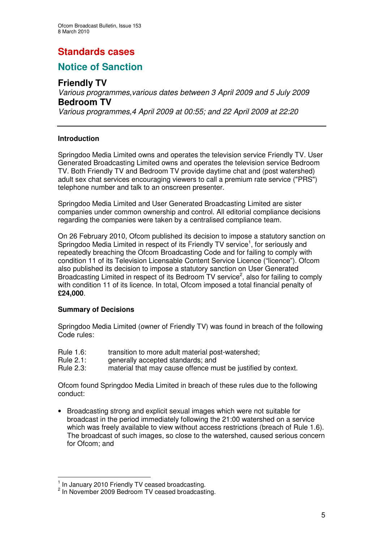# **Standards cases**

## **Notice of Sanction**

## **Friendly TV**

*Various programmes,various dates between 3 April 2009 and 5 July 2009* **Bedroom TV**

*Various programmes,4 April 2009 at 00:55; and 22 April 2009 at 22:20*

#### **Introduction**

Springdoo Media Limited owns and operates the television service Friendly TV. User Generated Broadcasting Limited owns and operates the television service Bedroom TV. Both Friendly TV and Bedroom TV provide daytime chat and (post watershed) adult sex chat services encouraging viewers to call a premium rate service ("PRS") telephone number and talk to an onscreen presenter.

Springdoo Media Limited and User Generated Broadcasting Limited are sister companies under common ownership and control. All editorial compliance decisions regarding the companies were taken by a centralised compliance team.

On 26 February 2010, Ofcom published its decision to impose a statutory sanction on Springdoo Media Limited in respect of its Friendly TV service<sup>1</sup>, for seriously and repeatedly breaching the Ofcom Broadcasting Code and for failing to comply with condition 11 of its Television Licensable Content Service Licence ("licence"). Ofcom also published its decision to impose a statutory sanction on User Generated Broadcasting Limited in respect of its Bedroom TV service<sup>2</sup>, also for failing to comply with condition 11 of its licence. In total, Ofcom imposed a total financial penalty of **£24,000**.

#### **Summary of Decisions**

Springdoo Media Limited (owner of Friendly TV) was found in breach of the following Code rules:

- Rule 1.6: transition to more adult material post-watershed:
- Rule 2.1: generally accepted standards; and
- Rule 2.3: material that may cause offence must be justified by context.

Ofcom found Springdoo Media Limited in breach of these rules due to the following conduct:

• Broadcasting strong and explicit sexual images which were not suitable for broadcast in the period immediately following the 21:00 watershed on a service which was freely available to view without access restrictions (breach of Rule 1.6). The broadcast of such images, so close to the watershed, caused serious concern for Ofcom; and

 $\frac{1}{2}$  In January 2010 Friendly TV ceased broadcasting.

<sup>&</sup>lt;sup>2</sup> In November 2009 Bedroom TV ceased broadcasting.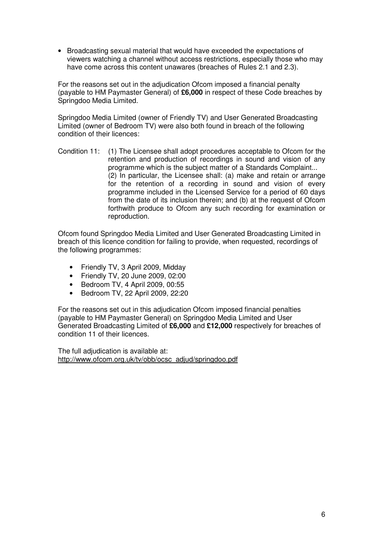• Broadcasting sexual material that would have exceeded the expectations of viewers watching a channel without access restrictions, especially those who may have come across this content unawares (breaches of Rules 2.1 and 2.3).

For the reasons set out in the adjudication Ofcom imposed a financial penalty (payable to HM Paymaster General) of **£6,000** in respect of these Code breaches by Springdoo Media Limited.

Springdoo Media Limited (owner of Friendly TV) and User Generated Broadcasting Limited (owner of Bedroom TV) were also both found in breach of the following condition of their licences:

Condition 11: (1) The Licensee shall adopt procedures acceptable to Ofcom for the retention and production of recordings in sound and vision of any programme which is the subject matter of a Standards Complaint... (2) In particular, the Licensee shall: (a) make and retain or arrange for the retention of a recording in sound and vision of every programme included in the Licensed Service for a period of 60 days from the date of its inclusion therein; and (b) at the request of Ofcom forthwith produce to Ofcom any such recording for examination or reproduction.

Ofcom found Springdoo Media Limited and User Generated Broadcasting Limited in breach of this licence condition for failing to provide, when requested, recordings of the following programmes:

- Friendly TV, 3 April 2009, Midday
- Friendly TV, 20 June 2009, 02:00
- Bedroom TV, 4 April 2009, 00:55
- Bedroom TV, 22 April 2009, 22:20

For the reasons set out in this adjudication Ofcom imposed financial penalties (payable to HM Paymaster General) on Springdoo Media Limited and User Generated Broadcasting Limited of **£6,000** and **£12,000** respectively for breaches of condition 11 of their licences.

The full adjudication is available at: http://www.ofcom.org.uk/tv/obb/ocsc\_adjud/springdoo.pdf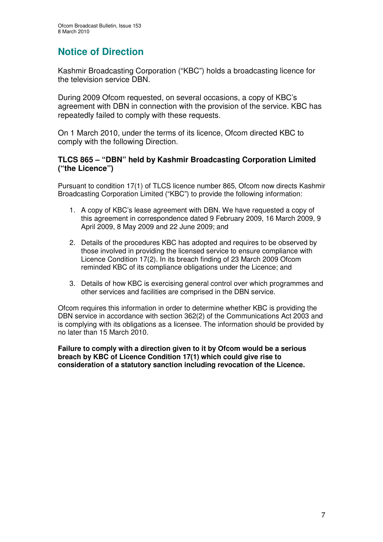# **Notice of Direction**

Kashmir Broadcasting Corporation ("KBC") holds a broadcasting licence for the television service DBN.

During 2009 Ofcom requested, on several occasions, a copy of KBC's agreement with DBN in connection with the provision of the service. KBC has repeatedly failed to comply with these requests.

On 1 March 2010, under the terms of its licence, Ofcom directed KBC to comply with the following Direction.

#### **TLCS 865 – "DBN" held by Kashmir Broadcasting Corporation Limited ("the Licence")**

Pursuant to condition 17(1) of TLCS licence number 865, Ofcom now directs Kashmir Broadcasting Corporation Limited ("KBC") to provide the following information:

- 1. A copy of KBC's lease agreement with DBN. We have requested a copy of this agreement in correspondence dated 9 February 2009, 16 March 2009, 9 April 2009, 8 May 2009 and 22 June 2009; and
- 2. Details of the procedures KBC has adopted and requires to be observed by those involved in providing the licensed service to ensure compliance with Licence Condition 17(2). In its breach finding of 23 March 2009 Ofcom reminded KBC of its compliance obligations under the Licence; and
- 3. Details of how KBC is exercising general control over which programmes and other services and facilities are comprised in the DBN service.

Ofcom requires this information in order to determine whether KBC is providing the DBN service in accordance with section 362(2) of the Communications Act 2003 and is complying with its obligations as a licensee. The information should be provided by no later than 15 March 2010.

**Failure to comply with a direction given to it by Ofcom would be a serious breach by KBC of Licence Condition 17(1) which could give rise to consideration of a statutory sanction including revocation of the Licence.**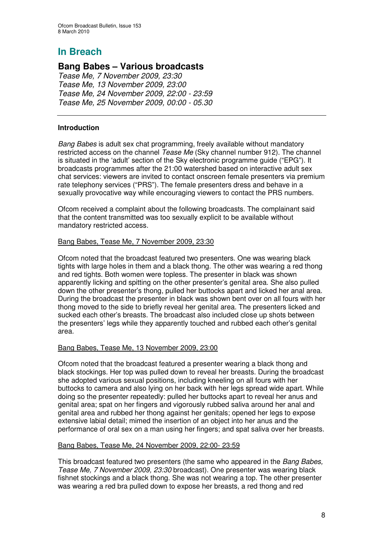## **Bang Babes – Various broadcasts**

*Tease Me, 7 November 2009, 23:30 Tease Me, 13 November 2009, 23:00 Tease Me, 24 November 2009, 22:00 - 23:59 Tease Me, 25 November 2009, 00:00 - 05.30*

#### **Introduction**

*Bang Babes* is adult sex chat programming, freely available without mandatory restricted access on the channel *Tease Me* (Sky channel number 912). The channel is situated in the 'adult' section of the Sky electronic programme guide ("EPG"). It broadcasts programmes after the 21:00 watershed based on interactive adult sex chat services: viewers are invited to contact onscreen female presenters via premium rate telephony services ("PRS"). The female presenters dress and behave in a sexually provocative way while encouraging viewers to contact the PRS numbers.

Ofcom received a complaint about the following broadcasts. The complainant said that the content transmitted was too sexually explicit to be available without mandatory restricted access.

#### Bang Babes, Tease Me, 7 November 2009, 23:30

Ofcom noted that the broadcast featured two presenters. One was wearing black tights with large holes in them and a black thong. The other was wearing a red thong and red tights. Both women were topless. The presenter in black was shown apparently licking and spitting on the other presenter's genital area. She also pulled down the other presenter's thong, pulled her buttocks apart and licked her anal area. During the broadcast the presenter in black was shown bent over on all fours with her thong moved to the side to briefly reveal her genital area. The presenters licked and sucked each other's breasts. The broadcast also included close up shots between the presenters' legs while they apparently touched and rubbed each other's genital area.

#### Bang Babes, Tease Me, 13 November 2009, 23:00

Ofcom noted that the broadcast featured a presenter wearing a black thong and black stockings. Her top was pulled down to reveal her breasts. During the broadcast she adopted various sexual positions, including kneeling on all fours with her buttocks to camera and also lying on her back with her legs spread wide apart. While doing so the presenter repeatedly: pulled her buttocks apart to reveal her anus and genital area; spat on her fingers and vigorously rubbed saliva around her anal and genital area and rubbed her thong against her genitals; opened her legs to expose extensive labial detail; mimed the insertion of an object into her anus and the performance of oral sex on a man using her fingers; and spat saliva over her breasts.

#### Bang Babes, Tease Me, 24 November 2009, 22:00- 23:59

This broadcast featured two presenters (the same who appeared in the *Bang Babes, Tease Me, 7 November 2009, 23:30* broadcast). One presenter was wearing black fishnet stockings and a black thong. She was not wearing a top. The other presenter was wearing a red bra pulled down to expose her breasts, a red thong and red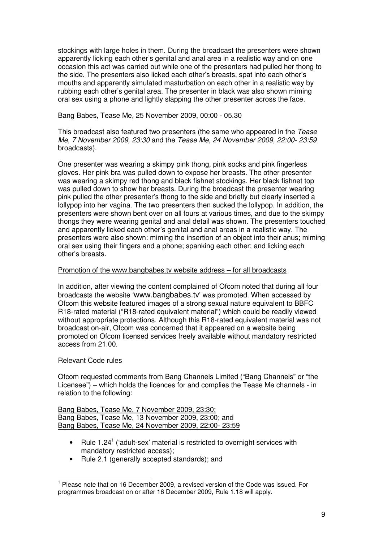stockings with large holes in them. During the broadcast the presenters were shown apparently licking each other's genital and anal area in a realistic way and on one occasion this act was carried out while one of the presenters had pulled her thong to the side. The presenters also licked each other's breasts, spat into each other's mouths and apparently simulated masturbation on each other in a realistic way by rubbing each other's genital area. The presenter in black was also shown miming oral sex using a phone and lightly slapping the other presenter across the face.

#### Bang Babes, Tease Me, 25 November 2009, 00:00 - 05.30

This broadcast also featured two presenters (the same who appeared in the *Tease Me, 7 November 2009, 23:30* and the *Tease Me, 24 November 2009, 22:00- 23:59* broadcasts).

One presenter was wearing a skimpy pink thong, pink socks and pink fingerless gloves. Her pink bra was pulled down to expose her breasts. The other presenter was wearing a skimpy red thong and black fishnet stockings. Her black fishnet top was pulled down to show her breasts. During the broadcast the presenter wearing pink pulled the other presenter's thong to the side and briefly but clearly inserted a lollypop into her vagina. The two presenters then sucked the lollypop. In addition, the presenters were shown bent over on all fours at various times, and due to the skimpy thongs they were wearing genital and anal detail was shown. The presenters touched and apparently licked each other's genital and anal areas in a realistic way. The presenters were also shown: miming the insertion of an object into their anus; miming oral sex using their fingers and a phone; spanking each other; and licking each other's breasts.

#### Promotion of the www.bangbabes.tv website address – for all broadcasts

In addition, after viewing the content complained of Ofcom noted that during all four broadcasts the website 'www.bangbabes.tv' was promoted. When accessed by Ofcom this website featured images of a strong sexual nature equivalent to BBFC R18-rated material ("R18-rated equivalent material") which could be readily viewed without appropriate protections. Although this R18-rated equivalent material was not broadcast on-air, Ofcom was concerned that it appeared on a website being promoted on Ofcom licensed services freely available without mandatory restricted access from 21.00.

#### Relevant Code rules

Ofcom requested comments from Bang Channels Limited ("Bang Channels" or "the Licensee") – which holds the licences for and complies the Tease Me channels - in relation to the following:

|  |  | Bang Babes, Tease Me, 7 November 2009, 23:30;       |  |  |
|--|--|-----------------------------------------------------|--|--|
|  |  | Bang Babes, Tease Me, 13 November 2009, 23:00; and  |  |  |
|  |  | Bang Babes, Tease Me, 24 November 2009, 22:00-23:59 |  |  |

- Rule 1.24<sup>1</sup> ('adult-sex' material is restricted to overnight services with mandatory restricted access);
- Rule 2.1 (generally accepted standards); and

<sup>&</sup>lt;sup>1</sup> Please note that on 16 December 2009, a revised version of the Code was issued. For programmes broadcast on or after 16 December 2009, Rule 1.18 will apply.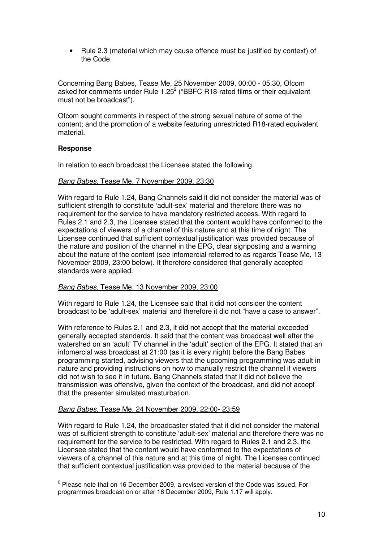• Rule 2.3 (material which may cause offence must be justified by context) of the Code.

Concerning Bang Babes, Tease Me, 25 November 2009, 00:00 - 05.30, Ofcom asked for comments under Rule 1.25 $^2$  ("BBFC R18-rated films or their equivalent must not be broadcast").

Ofcom sought comments in respect of the strong sexual nature of some of the content; and the promotion of a website featuring unrestricted R18-rated equivalent material.

#### **Response**

In relation to each broadcast the Licensee stated the following.

#### *Bang Babes*, Tease Me, 7 November 2009, 23:30

With regard to Rule 1.24, Bang Channels said it did not consider the material was of sufficient strength to constitute 'adult-sex' material and therefore there was no requirement for the service to have mandatory restricted access. With regard to Rules 2.1 and 2.3, the Licensee stated that the content would have conformed to the expectations of viewers of a channel of this nature and at this time of night. The Licensee continued that sufficient contextual justification was provided because of the nature and position of the channel in the EPG, clear signposting and a warning about the nature of the content (see infomercial referred to as regards Tease Me, 13 November 2009, 23:00 below). It therefore considered that generally accepted standards were applied.

#### *Bang Babes*, Tease Me, 13 November 2009, 23:00

With regard to Rule 1.24, the Licensee said that it did not consider the content broadcast to be 'adult-sex' material and therefore it did not "have a case to answer".

With reference to Rules 2.1 and 2.3, it did not accept that the material exceeded generally accepted standards. It said that the content was broadcast well after the watershed on an 'adult' TV channel in the 'adult' section of the EPG. It stated that an infomercial was broadcast at 21:00 (as it is every night) before the Bang Babes programming started, advising viewers that the upcoming programming was adult in nature and providing instructions on how to manually restrict the channel if viewers did not wish to see it in future. Bang Channels stated that it did not believe the transmission was offensive, given the context of the broadcast, and did not accept that the presenter simulated masturbation.

#### *Bang Babes*, Tease Me, 24 November 2009, 22:00- 23:59

With regard to Rule 1.24, the broadcaster stated that it did not consider the material was of sufficient strength to constitute 'adult-sex' material and therefore there was no requirement for the service to be restricted. With regard to Rules 2.1 and 2.3, the Licensee stated that the content would have conformed to the expectations of viewers of a channel of this nature and at this time of night. The Licensee continued that sufficient contextual justification was provided to the material because of the

 $^2$  Please note that on 16 December 2009, a revised version of the Code was issued. For programmes broadcast on or after 16 December 2009, Rule 1.17 will apply.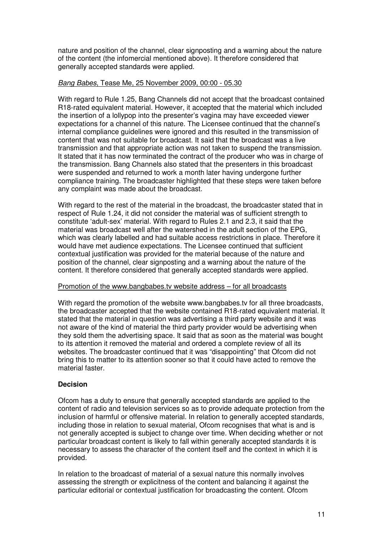nature and position of the channel, clear signposting and a warning about the nature of the content (the infomercial mentioned above). It therefore considered that generally accepted standards were applied.

#### *Bang Babes*, Tease Me, 25 November 2009, 00:00 - 05.30

With regard to Rule 1.25, Bang Channels did not accept that the broadcast contained R18-rated equivalent material. However, it accepted that the material which included the insertion of a lollypop into the presenter's vagina may have exceeded viewer expectations for a channel of this nature. The Licensee continued that the channel's internal compliance guidelines were ignored and this resulted in the transmission of content that was not suitable for broadcast. It said that the broadcast was a live transmission and that appropriate action was not taken to suspend the transmission. It stated that it has now terminated the contract of the producer who was in charge of the transmission. Bang Channels also stated that the presenters in this broadcast were suspended and returned to work a month later having undergone further compliance training. The broadcaster highlighted that these steps were taken before any complaint was made about the broadcast.

With regard to the rest of the material in the broadcast, the broadcaster stated that in respect of Rule 1.24, it did not consider the material was of sufficient strength to constitute 'adult-sex' material. With regard to Rules 2.1 and 2.3, it said that the material was broadcast well after the watershed in the adult section of the EPG, which was clearly labelled and had suitable access restrictions in place. Therefore it would have met audience expectations. The Licensee continued that sufficient contextual justification was provided for the material because of the nature and position of the channel, clear signposting and a warning about the nature of the content. It therefore considered that generally accepted standards were applied.

#### Promotion of the www.bangbabes.tv website address – for all broadcasts

With regard the promotion of the website www.bangbabes.tv for all three broadcasts, the broadcaster accepted that the website contained R18-rated equivalent material. It stated that the material in question was advertising a third party website and it was not aware of the kind of material the third party provider would be advertising when they sold them the advertising space. It said that as soon as the material was bought to its attention it removed the material and ordered a complete review of all its websites. The broadcaster continued that it was "disappointing" that Ofcom did not bring this to matter to its attention sooner so that it could have acted to remove the material faster.

#### **Decision**

Ofcom has a duty to ensure that generally accepted standards are applied to the content of radio and television services so as to provide adequate protection from the inclusion of harmful or offensive material. In relation to generally accepted standards, including those in relation to sexual material, Ofcom recognises that what is and is not generally accepted is subject to change over time. When deciding whether or not particular broadcast content is likely to fall within generally accepted standards it is necessary to assess the character of the content itself and the context in which it is provided.

In relation to the broadcast of material of a sexual nature this normally involves assessing the strength or explicitness of the content and balancing it against the particular editorial or contextual justification for broadcasting the content. Ofcom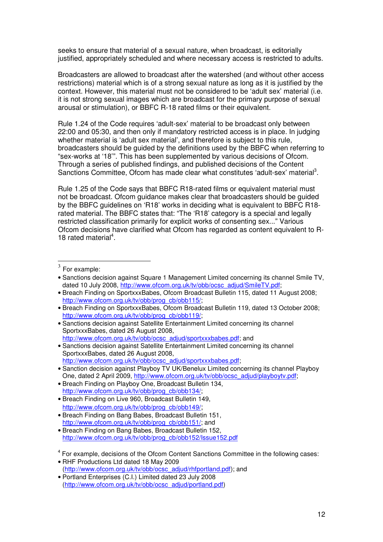seeks to ensure that material of a sexual nature, when broadcast, is editorially justified, appropriately scheduled and where necessary access is restricted to adults.

Broadcasters are allowed to broadcast after the watershed (and without other access restrictions) material which is of a strong sexual nature as long as it is justified by the context. However, this material must not be considered to be 'adult sex' material (i.e. it is not strong sexual images which are broadcast for the primary purpose of sexual arousal or stimulation), or BBFC R-18 rated films or their equivalent.

Rule 1.24 of the Code requires 'adult-sex' material to be broadcast only between 22:00 and 05:30, and then only if mandatory restricted access is in place. In judging whether material is 'adult sex material', and therefore is subject to this rule, broadcasters should be guided by the definitions used by the BBFC when referring to "sex-works at '18'". This has been supplemented by various decisions of Ofcom. Through a series of published findings, and published decisions of the Content Sanctions Committee, Ofcom has made clear what constitutes 'adult-sex' material<sup>3</sup>.

Rule 1.25 of the Code says that BBFC R18-rated films or equivalent material must not be broadcast. Ofcom guidance makes clear that broadcasters should be guided by the BBFC guidelines on 'R18' works in deciding what is equivalent to BBFC R18 rated material. The BBFC states that: "The 'R18' category is a special and legally restricted classification primarily for explicit works of consenting sex..." Various Ofcom decisions have clarified what Ofcom has regarded as content equivalent to R-18 rated material<sup>4</sup>.

- Breach Finding on Playboy One, Broadcast Bulletin 134, http://www.ofcom.org.uk/tv/obb/prog\_cb/obb134/;
- Breach Finding on Live 960, Broadcast Bulletin 149, http://www.ofcom.org.uk/tv/obb/prog\_cb/obb149/;
- Breach Finding on Bang Babes, Broadcast Bulletin 151, http://www.ofcom.org.uk/tv/obb/prog\_cb/obb151/; and
- Breach Finding on Bang Babes, Broadcast Bulletin 152, http://www.ofcom.org.uk/tv/obb/prog\_cb/obb152/Issue152.pdf
- <sup>4</sup> For example, decisions of the Ofcom Content Sanctions Committee in the following cases:
- RHF Productions Ltd dated 18 May 2009 (http://www.ofcom.org.uk/tv/obb/ocsc\_adjud/rhfportland.pdf): and
- Portland Enterprises (C.I.) Limited dated 23 July 2008 (http://www.ofcom.org.uk/tv/obb/ocsc\_adjud/portland.pdf)

<sup>3</sup> For example:

<sup>•</sup> Sanctions decision against Square 1 Management Limited concerning its channel Smile TV, dated 10 July 2008, http://www.ofcom.org.uk/tv/obb/ocsc\_adjud/SmileTV.pdf;

<sup>•</sup> Breach Finding on SportxxxBabes, Ofcom Broadcast Bulletin 115, dated 11 August 2008; http://www.ofcom.org.uk/tv/obb/prog\_cb/obb115/;

<sup>•</sup> Breach Finding on SportxxxBabes, Ofcom Broadcast Bulletin 119, dated 13 October 2008; http://www.ofcom.org.uk/tv/obb/prog\_cb/obb119/;

<sup>•</sup> Sanctions decision against Satellite Entertainment Limited concerning its channel SportxxxBabes, dated 26 August 2008, http://www.ofcom.org.uk/ty/obb/ocsc\_adjud/sportxxxbabes.pdf; and

<sup>•</sup> Sanctions decision against Satellite Entertainment Limited concerning its channel SportxxxBabes, dated 26 August 2008, http://www.ofcom.org.uk/tv/obb/ocsc\_adjud/sportxxxbabes.pdf;

<sup>•</sup> Sanction decision against Playboy TV UK/Benelux Limited concerning its channel Playboy One, dated 2 April 2009, http://www.ofcom.org.uk/tv/obb/ocsc\_adjud/playboytv.pdf;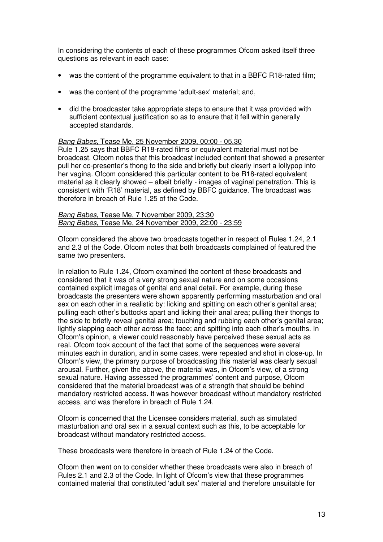In considering the contents of each of these programmes Ofcom asked itself three questions as relevant in each case:

- was the content of the programme equivalent to that in a BBFC R18-rated film;
- was the content of the programme 'adult-sex' material; and,
- did the broadcaster take appropriate steps to ensure that it was provided with sufficient contextual justification so as to ensure that it fell within generally accepted standards.

#### *Bang Babes*, Tease Me, 25 November 2009, 00:00 - 05.30

Rule 1.25 says that BBFC R18-rated films or equivalent material must not be broadcast. Ofcom notes that this broadcast included content that showed a presenter pull her co-presenter's thong to the side and briefly but clearly insert a lollypop into her vagina. Ofcom considered this particular content to be R18-rated equivalent material as it clearly showed – albeit briefly - images of vaginal penetration. This is consistent with 'R18' material, as defined by BBFC guidance. The broadcast was therefore in breach of Rule 1.25 of the Code.

#### *Bang Babes*, Tease Me, 7 November 2009, 23:30 *Bang Babes*, Tease Me, 24 November 2009, 22:00 - 23:59

Ofcom considered the above two broadcasts together in respect of Rules 1.24, 2.1 and 2.3 of the Code. Ofcom notes that both broadcasts complained of featured the same two presenters.

In relation to Rule 1.24, Ofcom examined the content of these broadcasts and considered that it was of a very strong sexual nature and on some occasions contained explicit images of genital and anal detail. For example, during these broadcasts the presenters were shown apparently performing masturbation and oral sex on each other in a realistic by: licking and spitting on each other's genital area; pulling each other's buttocks apart and licking their anal area; pulling their thongs to the side to briefly reveal genital area; touching and rubbing each other's genital area; lightly slapping each other across the face; and spitting into each other's mouths. In Ofcom's opinion, a viewer could reasonably have perceived these sexual acts as real. Ofcom took account of the fact that some of the sequences were several minutes each in duration, and in some cases, were repeated and shot in close-up. In Ofcom's view, the primary purpose of broadcasting this material was clearly sexual arousal. Further, given the above, the material was, in Ofcom's view, of a strong sexual nature. Having assessed the programmes' content and purpose, Ofcom considered that the material broadcast was of a strength that should be behind mandatory restricted access. It was however broadcast without mandatory restricted access, and was therefore in breach of Rule 1.24.

Ofcom is concerned that the Licensee considers material, such as simulated masturbation and oral sex in a sexual context such as this, to be acceptable for broadcast without mandatory restricted access.

These broadcasts were therefore in breach of Rule 1.24 of the Code.

Ofcom then went on to consider whether these broadcasts were also in breach of Rules 2.1 and 2.3 of the Code. In light of Ofcom's view that these programmes contained material that constituted 'adult sex' material and therefore unsuitable for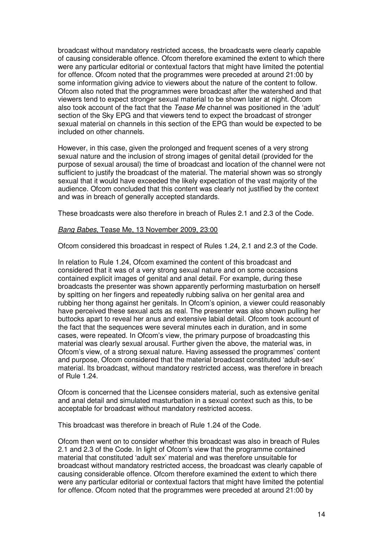broadcast without mandatory restricted access, the broadcasts were clearly capable of causing considerable offence. Ofcom therefore examined the extent to which there were any particular editorial or contextual factors that might have limited the potential for offence. Ofcom noted that the programmes were preceded at around 21:00 by some information giving advice to viewers about the nature of the content to follow. Ofcom also noted that the programmes were broadcast after the watershed and that viewers tend to expect stronger sexual material to be shown later at night. Ofcom also took account of the fact that the *Tease Me* channel was positioned in the 'adult' section of the Sky EPG and that viewers tend to expect the broadcast of stronger sexual material on channels in this section of the EPG than would be expected to be included on other channels.

However, in this case, given the prolonged and frequent scenes of a very strong sexual nature and the inclusion of strong images of genital detail (provided for the purpose of sexual arousal) the time of broadcast and location of the channel were not sufficient to justify the broadcast of the material. The material shown was so strongly sexual that it would have exceeded the likely expectation of the vast majority of the audience. Ofcom concluded that this content was clearly not justified by the context and was in breach of generally accepted standards.

These broadcasts were also therefore in breach of Rules 2.1 and 2.3 of the Code.

#### *Bang Babes*, Tease Me, 13 November 2009, 23:00

Ofcom considered this broadcast in respect of Rules 1.24, 2.1 and 2.3 of the Code.

In relation to Rule 1.24, Ofcom examined the content of this broadcast and considered that it was of a very strong sexual nature and on some occasions contained explicit images of genital and anal detail. For example, during these broadcasts the presenter was shown apparently performing masturbation on herself by spitting on her fingers and repeatedly rubbing saliva on her genital area and rubbing her thong against her genitals. In Ofcom's opinion, a viewer could reasonably have perceived these sexual acts as real. The presenter was also shown pulling her buttocks apart to reveal her anus and extensive labial detail. Ofcom took account of the fact that the sequences were several minutes each in duration, and in some cases, were repeated. In Ofcom's view, the primary purpose of broadcasting this material was clearly sexual arousal. Further given the above, the material was, in Ofcom's view, of a strong sexual nature. Having assessed the programmes' content and purpose, Ofcom considered that the material broadcast constituted 'adult-sex' material. Its broadcast, without mandatory restricted access, was therefore in breach of Rule 1.24.

Ofcom is concerned that the Licensee considers material, such as extensive genital and anal detail and simulated masturbation in a sexual context such as this, to be acceptable for broadcast without mandatory restricted access.

This broadcast was therefore in breach of Rule 1.24 of the Code.

Ofcom then went on to consider whether this broadcast was also in breach of Rules 2.1 and 2.3 of the Code. In light of Ofcom's view that the programme contained material that constituted 'adult sex' material and was therefore unsuitable for broadcast without mandatory restricted access, the broadcast was clearly capable of causing considerable offence. Ofcom therefore examined the extent to which there were any particular editorial or contextual factors that might have limited the potential for offence. Ofcom noted that the programmes were preceded at around 21:00 by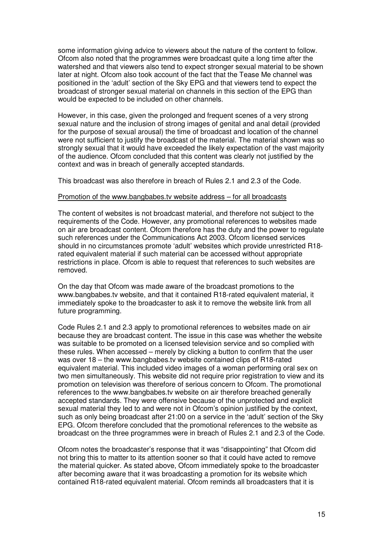some information giving advice to viewers about the nature of the content to follow. Ofcom also noted that the programmes were broadcast quite a long time after the watershed and that viewers also tend to expect stronger sexual material to be shown later at night. Ofcom also took account of the fact that the Tease Me channel was positioned in the 'adult' section of the Sky EPG and that viewers tend to expect the broadcast of stronger sexual material on channels in this section of the EPG than would be expected to be included on other channels.

However, in this case, given the prolonged and frequent scenes of a very strong sexual nature and the inclusion of strong images of genital and anal detail (provided for the purpose of sexual arousal) the time of broadcast and location of the channel were not sufficient to justify the broadcast of the material. The material shown was so strongly sexual that it would have exceeded the likely expectation of the vast majority of the audience. Ofcom concluded that this content was clearly not justified by the context and was in breach of generally accepted standards.

This broadcast was also therefore in breach of Rules 2.1 and 2.3 of the Code.

#### Promotion of the www.bangbabes.tv website address – for all broadcasts

The content of websites is not broadcast material, and therefore not subject to the requirements of the Code. However, any promotional references to websites made on air are broadcast content. Ofcom therefore has the duty and the power to regulate such references under the Communications Act 2003. Ofcom licensed services should in no circumstances promote 'adult' websites which provide unrestricted R18 rated equivalent material if such material can be accessed without appropriate restrictions in place. Ofcom is able to request that references to such websites are removed.

On the day that Ofcom was made aware of the broadcast promotions to the www.bangbabes.tv website, and that it contained R18-rated equivalent material, it immediately spoke to the broadcaster to ask it to remove the website link from all future programming.

Code Rules 2.1 and 2.3 apply to promotional references to websites made on air because they are broadcast content. The issue in this case was whether the website was suitable to be promoted on a licensed television service and so complied with these rules. When accessed – merely by clicking a button to confirm that the user was over 18 – the www.bangbabes.tv website contained clips of R18-rated equivalent material. This included video images of a woman performing oral sex on two men simultaneously. This website did not require prior registration to view and its promotion on television was therefore of serious concern to Ofcom. The promotional references to the www.bangbabes.tv website on air therefore breached generally accepted standards. They were offensive because of the unprotected and explicit sexual material they led to and were not in Ofcom's opinion justified by the context, such as only being broadcast after 21:00 on a service in the 'adult' section of the Sky EPG. Ofcom therefore concluded that the promotional references to the website as broadcast on the three programmes were in breach of Rules 2.1 and 2.3 of the Code.

Ofcom notes the broadcaster's response that it was "disappointing" that Ofcom did not bring this to matter to its attention sooner so that it could have acted to remove the material quicker. As stated above, Ofcom immediately spoke to the broadcaster after becoming aware that it was broadcasting a promotion for its website which contained R18-rated equivalent material. Ofcom reminds all broadcasters that it is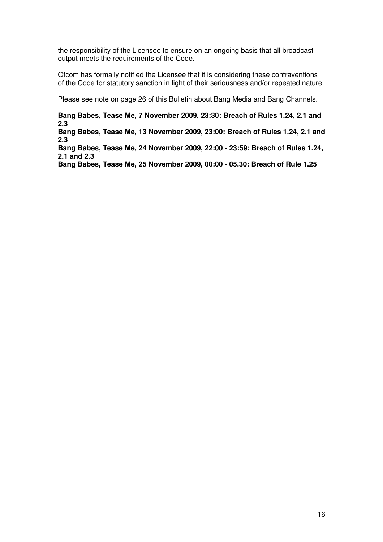the responsibility of the Licensee to ensure on an ongoing basis that all broadcast output meets the requirements of the Code.

Ofcom has formally notified the Licensee that it is considering these contraventions of the Code for statutory sanction in light of their seriousness and/or repeated nature.

Please see note on page 26 of this Bulletin about Bang Media and Bang Channels.

**Bang Babes, Tease Me, 7 November 2009, 23:30: Breach of Rules 1.24, 2.1 and 2.3**

**Bang Babes, Tease Me, 13 November 2009, 23:00: Breach of Rules 1.24, 2.1 and 2.3**

**Bang Babes, Tease Me, 24 November 2009, 22:00 - 23:59: Breach of Rules 1.24, 2.1 and 2.3**

**Bang Babes, Tease Me, 25 November 2009, 00:00 - 05.30: Breach of Rule 1.25**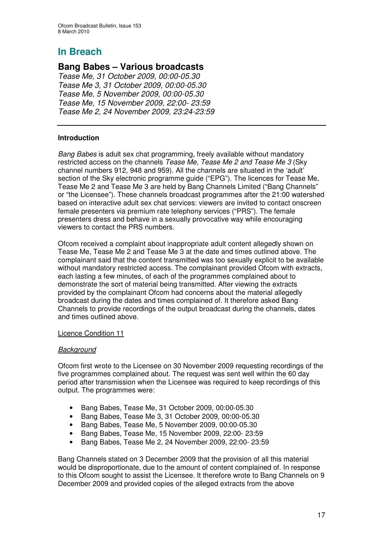## **Bang Babes – Various broadcasts**

*Tease Me, 31 October 2009, 00:00-05.30 Tease Me 3, 31 October 2009, 00:00-05.30 Tease Me, 5 November 2009, 00:00-05.30 Tease Me, 15 November 2009, 22:00- 23:59 Tease Me 2, 24 November 2009, 23:24-23:59*

#### **Introduction**

*Bang Babes* is adult sex chat programming, freely available without mandatory restricted access on the channels *Tease Me, Tease Me 2 and Tease Me 3* (Sky channel numbers 912, 948 and 959). All the channels are situated in the 'adult' section of the Sky electronic programme guide ("EPG"). The licences for Tease Me, Tease Me 2 and Tease Me 3 are held by Bang Channels Limited ("Bang Channels" or "the Licensee"). These channels broadcast programmes after the 21:00 watershed based on interactive adult sex chat services: viewers are invited to contact onscreen female presenters via premium rate telephony services ("PRS"). The female presenters dress and behave in a sexually provocative way while encouraging viewers to contact the PRS numbers.

Ofcom received a complaint about inappropriate adult content allegedly shown on Tease Me, Tease Me 2 and Tease Me 3 at the date and times outlined above. The complainant said that the content transmitted was too sexually explicit to be available without mandatory restricted access. The complainant provided Ofcom with extracts, each lasting a few minutes, of each of the programmes complained about to demonstrate the sort of material being transmitted. After viewing the extracts provided by the complainant Ofcom had concerns about the material allegedly broadcast during the dates and times complained of. It therefore asked Bang Channels to provide recordings of the output broadcast during the channels, dates and times outlined above.

#### Licence Condition 11

#### *Background*

Ofcom first wrote to the Licensee on 30 November 2009 requesting recordings of the five programmes complained about. The request was sent well within the 60 day period after transmission when the Licensee was required to keep recordings of this output. The programmes were:

- Bang Babes, Tease Me, 31 October 2009, 00:00-05.30
- Bang Babes, Tease Me 3, 31 October 2009, 00:00-05.30
- Bang Babes, Tease Me, 5 November 2009, 00:00-05.30
- Bang Babes, Tease Me, 15 November 2009, 22:00- 23:59
- Bang Babes, Tease Me 2, 24 November 2009, 22:00- 23:59

Bang Channels stated on 3 December 2009 that the provision of all this material would be disproportionate, due to the amount of content complained of. In response to this Ofcom sought to assist the Licensee. It therefore wrote to Bang Channels on 9 December 2009 and provided copies of the alleged extracts from the above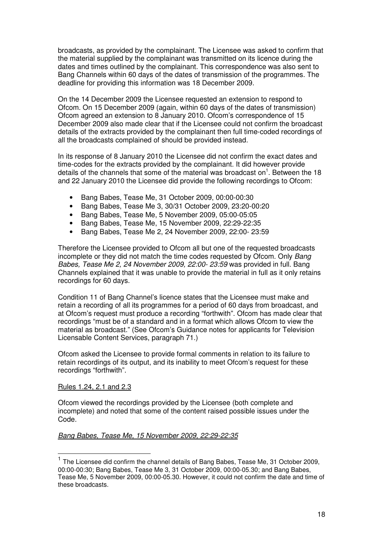broadcasts, as provided by the complainant. The Licensee was asked to confirm that the material supplied by the complainant was transmitted on its licence during the dates and times outlined by the complainant. This correspondence was also sent to Bang Channels within 60 days of the dates of transmission of the programmes. The deadline for providing this information was 18 December 2009.

On the 14 December 2009 the Licensee requested an extension to respond to Ofcom. On 15 December 2009 (again, within 60 days of the dates of transmission) Ofcom agreed an extension to 8 January 2010. Ofcom's correspondence of 15 December 2009 also made clear that if the Licensee could not confirm the broadcast details of the extracts provided by the complainant then full time-coded recordings of all the broadcasts complained of should be provided instead.

In its response of 8 January 2010 the Licensee did not confirm the exact dates and time-codes for the extracts provided by the complainant. It did however provide details of the channels that some of the material was broadcast on<sup>1</sup>. Between the 18 and 22 January 2010 the Licensee did provide the following recordings to Ofcom:

- Bang Babes, Tease Me, 31 October 2009, 00:00-00:30
- Bang Babes, Tease Me 3, 30/31 October 2009, 23:20-00:20
- Bang Babes, Tease Me, 5 November 2009, 05:00-05:05
- Bang Babes, Tease Me, 15 November 2009, 22:29-22:35
- Bang Babes, Tease Me 2, 24 November 2009, 22:00- 23:59

Therefore the Licensee provided to Ofcom all but one of the requested broadcasts incomplete or they did not match the time codes requested by Ofcom. Only *Bang Babes, Tease Me 2, 24 November 2009, 22:00- 23:59* was provided in full. Bang Channels explained that it was unable to provide the material in full as it only retains recordings for 60 days.

Condition 11 of Bang Channel's licence states that the Licensee must make and retain a recording of all its programmes for a period of 60 days from broadcast, and at Ofcom's request must produce a recording "forthwith". Ofcom has made clear that recordings "must be of a standard and in a format which allows Ofcom to view the material as broadcast." (See Ofcom's Guidance notes for applicants for Television Licensable Content Services, paragraph 71.)

Ofcom asked the Licensee to provide formal comments in relation to its failure to retain recordings of its output, and its inability to meet Ofcom's request for these recordings "forthwith".

#### Rules 1.24, 2.1 and 2.3

Ofcom viewed the recordings provided by the Licensee (both complete and incomplete) and noted that some of the content raised possible issues under the Code.

#### *Bang Babes, Tease Me, 15 November 2009, 22:29-22:35*

<sup>&</sup>lt;sup>1</sup> The Licensee did confirm the channel details of Bang Babes, Tease Me, 31 October 2009, 00:00-00:30; Bang Babes, Tease Me 3, 31 October 2009, 00:00-05.30; and Bang Babes, Tease Me, 5 November 2009, 00:00-05.30. However, it could not confirm the date and time of these broadcasts.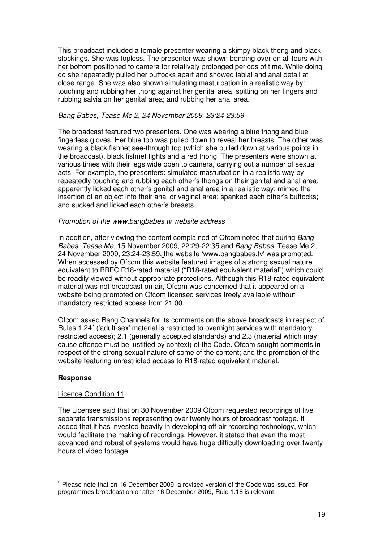This broadcast included a female presenter wearing a skimpy black thong and black stockings. She was topless. The presenter was shown bending over on all fours with her bottom positioned to camera for relatively prolonged periods of time. While doing do she repeatedly pulled her buttocks apart and showed labial and anal detail at close range. She was also shown simulating masturbation in a realistic way by: touching and rubbing her thong against her genital area; spitting on her fingers and rubbing salvia on her genital area; and rubbing her anal area.

#### *Bang Babes, Tease Me 2, 24 November 2009, 23:24-23:59*

The broadcast featured two presenters. One was wearing a blue thong and blue fingerless gloves. Her blue top was pulled down to reveal her breasts. The other was wearing a black fishnet see-through top (which she pulled down at various points in the broadcast), black fishnet tights and a red thong. The presenters were shown at various times with their legs wide open to camera, carrying out a number of sexual acts. For example, the presenters: simulated masturbation in a realistic way by repeatedly touching and rubbing each other's thongs on their genital and anal area; apparently licked each other's genital and anal area in a realistic way; mimed the insertion of an object into their anal or vaginal area; spanked each other's buttocks; and sucked and licked each other's breasts.

#### *Promotion of the www.bangbabes.tv website address*

In addition, after viewing the content complained of Ofcom noted that during *Bang Babes, Tease Me*, 15 November 2009, 22:29-22:35 and *Bang Babes*, Tease Me 2, 24 November 2009, 23:24-23:59, the website 'www.bangbabes.tv' was promoted. When accessed by Ofcom this website featured images of a strong sexual nature equivalent to BBFC R18-rated material ("R18-rated equivalent material") which could be readily viewed without appropriate protections. Although this R18-rated equivalent material was not broadcast on-air, Ofcom was concerned that it appeared on a website being promoted on Ofcom licensed services freely available without mandatory restricted access from 21.00.

Ofcom asked Bang Channels for its comments on the above broadcasts in respect of Rules 1.24<sup>2</sup> ('adult-sex' material is restricted to overnight services with mandatory restricted access); 2.1 (generally accepted standards) and 2.3 (material which may cause offence must be justified by context) of the Code. Ofcom sought comments in respect of the strong sexual nature of some of the content; and the promotion of the website featuring unrestricted access to R18-rated equivalent material.

#### **Response**

#### Licence Condition 11

The Licensee said that on 30 November 2009 Ofcom requested recordings of five separate transmissions representing over twenty hours of broadcast footage. It added that it has invested heavily in developing off-air recording technology, which would facilitate the making of recordings. However, it stated that even the most advanced and robust of systems would have huge difficulty downloading over twenty hours of video footage.

 $^2$  Please note that on 16 December 2009, a revised version of the Code was issued. For programmes broadcast on or after 16 December 2009, Rule 1.18 is relevant.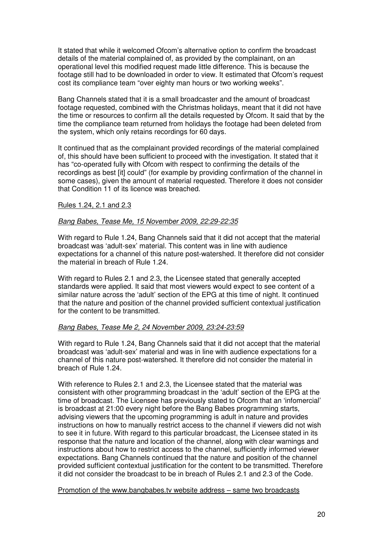It stated that while it welcomed Ofcom's alternative option to confirm the broadcast details of the material complained of, as provided by the complainant, on an operational level this modified request made little difference. This is because the footage still had to be downloaded in order to view. It estimated that Ofcom's request cost its compliance team "over eighty man hours or two working weeks".

Bang Channels stated that it is a small broadcaster and the amount of broadcast footage requested, combined with the Christmas holidays, meant that it did not have the time or resources to confirm all the details requested by Ofcom. It said that by the time the compliance team returned from holidays the footage had been deleted from the system, which only retains recordings for 60 days.

It continued that as the complainant provided recordings of the material complained of, this should have been sufficient to proceed with the investigation. It stated that it has "co-operated fully with Ofcom with respect to confirming the details of the recordings as best [it] could" (for example by providing confirmation of the channel in some cases), given the amount of material requested. Therefore it does not consider that Condition 11 of its licence was breached.

#### Rules 1.24, 2.1 and 2.3

#### *Bang Babes, Tease Me, 15 November 2009, 22:29-22:35*

With regard to Rule 1.24, Bang Channels said that it did not accept that the material broadcast was 'adult-sex' material. This content was in line with audience expectations for a channel of this nature post-watershed. It therefore did not consider the material in breach of Rule 1.24.

With regard to Rules 2.1 and 2.3, the Licensee stated that generally accepted standards were applied. It said that most viewers would expect to see content of a similar nature across the 'adult' section of the EPG at this time of night. It continued that the nature and position of the channel provided sufficient contextual justification for the content to be transmitted.

#### *Bang Babes, Tease Me 2, 24 November 2009, 23:24-23:59*

With regard to Rule 1.24, Bang Channels said that it did not accept that the material broadcast was 'adult-sex' material and was in line with audience expectations for a channel of this nature post-watershed. It therefore did not consider the material in breach of Rule 1.24.

With reference to Rules 2.1 and 2.3, the Licensee stated that the material was consistent with other programming broadcast in the 'adult' section of the EPG at the time of broadcast. The Licensee has previously stated to Ofcom that an 'infomercial' is broadcast at 21:00 every night before the Bang Babes programming starts, advising viewers that the upcoming programming is adult in nature and provides instructions on how to manually restrict access to the channel if viewers did not wish to see it in future. With regard to this particular broadcast, the Licensee stated in its response that the nature and location of the channel, along with clear warnings and instructions about how to restrict access to the channel, sufficiently informed viewer expectations. Bang Channels continued that the nature and position of the channel provided sufficient contextual justification for the content to be transmitted. Therefore it did not consider the broadcast to be in breach of Rules 2.1 and 2.3 of the Code.

Promotion of the www.bangbabes.tv website address – same two broadcasts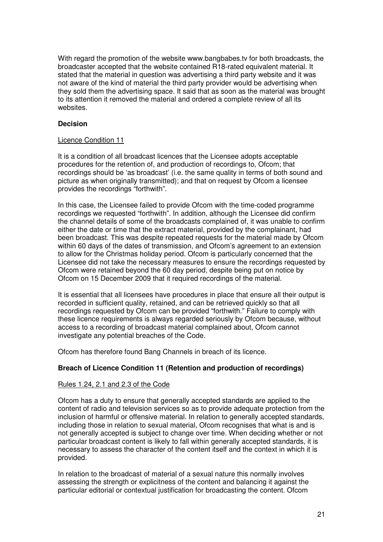With regard the promotion of the website www.bangbabes.tv for both broadcasts, the broadcaster accepted that the website contained R18-rated equivalent material. It stated that the material in question was advertising a third party website and it was not aware of the kind of material the third party provider would be advertising when they sold them the advertising space. It said that as soon as the material was brought to its attention it removed the material and ordered a complete review of all its websites.

#### **Decision**

#### Licence Condition 11

It is a condition of all broadcast licences that the Licensee adopts acceptable procedures for the retention of, and production of recordings to, Ofcom; that recordings should be 'as broadcast' (i.e. the same quality in terms of both sound and picture as when originally transmitted); and that on request by Ofcom a licensee provides the recordings "forthwith".

In this case, the Licensee failed to provide Ofcom with the time-coded programme recordings we requested "forthwith". In addition, although the Licensee did confirm the channel details of some of the broadcasts complained of, it was unable to confirm either the date or time that the extract material, provided by the complainant, had been broadcast. This was despite repeated requests for the material made by Ofcom within 60 days of the dates of transmission, and Ofcom's agreement to an extension to allow for the Christmas holiday period. Ofcom is particularly concerned that the Licensee did not take the necessary measures to ensure the recordings requested by Ofcom were retained beyond the 60 day period, despite being put on notice by Ofcom on 15 December 2009 that it required recordings of the material.

It is essential that all licensees have procedures in place that ensure all their output is recorded in sufficient quality, retained, and can be retrieved quickly so that all recordings requested by Ofcom can be provided "forthwith." Failure to comply with these licence requirements is always regarded seriously by Ofcom because, without access to a recording of broadcast material complained about, Ofcom cannot investigate any potential breaches of the Code.

Ofcom has therefore found Bang Channels in breach of its licence.

#### **Breach of Licence Condition 11 (Retention and production of recordings)**

#### Rules 1.24, 2.1 and 2.3 of the Code

Ofcom has a duty to ensure that generally accepted standards are applied to the content of radio and television services so as to provide adequate protection from the inclusion of harmful or offensive material. In relation to generally accepted standards, including those in relation to sexual material, Ofcom recognises that what is and is not generally accepted is subject to change over time. When deciding whether or not particular broadcast content is likely to fall within generally accepted standards, it is necessary to assess the character of the content itself and the context in which it is provided.

In relation to the broadcast of material of a sexual nature this normally involves assessing the strength or explicitness of the content and balancing it against the particular editorial or contextual justification for broadcasting the content. Ofcom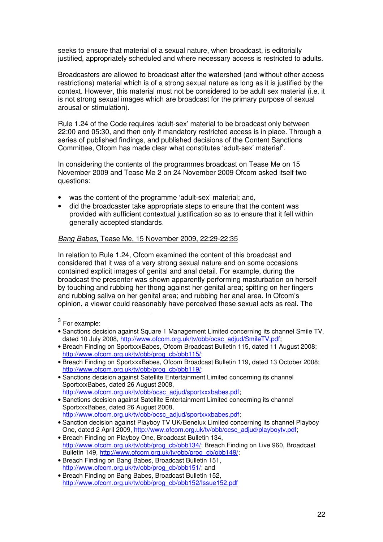seeks to ensure that material of a sexual nature, when broadcast, is editorially justified, appropriately scheduled and where necessary access is restricted to adults.

Broadcasters are allowed to broadcast after the watershed (and without other access restrictions) material which is of a strong sexual nature as long as it is justified by the context. However, this material must not be considered to be adult sex material (i.e. it is not strong sexual images which are broadcast for the primary purpose of sexual arousal or stimulation).

Rule 1.24 of the Code requires 'adult-sex' material to be broadcast only between 22:00 and 05:30, and then only if mandatory restricted access is in place. Through a series of published findings, and published decisions of the Content Sanctions Committee, Ofcom has made clear what constitutes 'adult-sex' material<sup>3</sup>.

In considering the contents of the programmes broadcast on Tease Me on 15 November 2009 and Tease Me 2 on 24 November 2009 Ofcom asked itself two questions:

- was the content of the programme 'adult-sex' material; and,
- did the broadcaster take appropriate steps to ensure that the content was provided with sufficient contextual justification so as to ensure that it fell within generally accepted standards.

#### *Bang Babes,* Tease Me, 15 November 2009, 22:29-22:35

In relation to Rule 1.24, Ofcom examined the content of this broadcast and considered that it was of a very strong sexual nature and on some occasions contained explicit images of genital and anal detail. For example, during the broadcast the presenter was shown apparently performing masturbation on herself by touching and rubbing her thong against her genital area; spitting on her fingers and rubbing saliva on her genital area; and rubbing her anal area. In Ofcom's opinion, a viewer could reasonably have perceived these sexual acts as real. The

• Breach Finding on SportxxxBabes, Ofcom Broadcast Bulletin 115, dated 11 August 2008; http://www.ofcom.org.uk/ty/obb/prog\_cb/obb115/;

http://www.ofcom.org.uk/ty/obb/ocsc\_adjud/sportxxxbabes.pdf;

- Sanctions decision against Satellite Entertainment Limited concerning its channel SportxxxBabes, dated 26 August 2008, http://www.ofcom.org.uk/tv/obb/ocsc\_adjud/sportxxxbabes.pdf;
- Sanction decision against Playboy TV UK/Benelux Limited concerning its channel Playboy One, dated 2 April 2009, http://www.ofcom.org.uk/tv/obb/ocsc\_adjud/playboytv.pdf;
- Breach Finding on Playboy One, Broadcast Bulletin 134, http://www.ofcom.org.uk/tv/obb/prog\_cb/obb134/; Breach Finding on Live 960, Broadcast Bulletin 149, http://www.ofcom.org.uk/tv/obb/prog\_cb/obb149/;
- Breach Finding on Bang Babes, Broadcast Bulletin 151, http://www.ofcom.org.uk/tv/obb/prog\_cb/obb151/; and
- Breach Finding on Bang Babes, Broadcast Bulletin 152, http://www.ofcom.org.uk/tv/obb/prog\_cb/obb152/Issue152.pdf

 $^3$  For example:

<sup>•</sup> Sanctions decision against Square 1 Management Limited concerning its channel Smile TV, dated 10 July 2008, http://www.ofcom.org.uk/tv/obb/ocsc\_adjud/SmileTV.pdf;

<sup>•</sup> Breach Finding on SportxxxBabes, Ofcom Broadcast Bulletin 119, dated 13 October 2008; http://www.ofcom.org.uk/tv/obb/prog\_cb/obb119/;

<sup>•</sup> Sanctions decision against Satellite Entertainment Limited concerning its channel SportxxxBabes, dated 26 August 2008,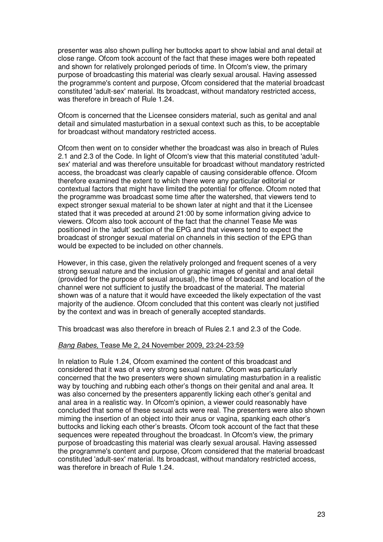presenter was also shown pulling her buttocks apart to show labial and anal detail at close range. Ofcom took account of the fact that these images were both repeated and shown for relatively prolonged periods of time. In Ofcom's view, the primary purpose of broadcasting this material was clearly sexual arousal. Having assessed the programme's content and purpose, Ofcom considered that the material broadcast constituted 'adult-sex'material. Its broadcast, without mandatory restricted access, was therefore in breach of Rule 1.24.

Ofcom is concerned that the Licensee considers material, such as genital and anal detail and simulated masturbation in a sexual context such as this, to be acceptable for broadcast without mandatory restricted access.

Ofcom then went on to consider whether the broadcast was also in breach of Rules 2.1 and 2.3 of the Code. In light of Ofcom's view that this material constituted 'adultsex'material and was therefore unsuitable for broadcast without mandatory restricted access, the broadcast was clearly capable of causing considerable offence. Ofcom therefore examined the extent to which there were any particular editorial or contextual factors that might have limited the potential for offence. Ofcom noted that the programme was broadcast some time after the watershed, that viewers tend to expect stronger sexual material to be shown later at night and that it the Licensee stated that it was preceded at around 21:00 by some information giving advice to viewers. Ofcom also took account of the fact that the channel Tease Me was positioned in the 'adult' section of the EPG and that viewers tend to expect the broadcast of stronger sexual material on channels in this section of the EPG than would be expected to be included on other channels.

However, in this case, given the relatively prolonged and frequent scenes of a very strong sexual nature and the inclusion of graphic images of genital and anal detail (provided for the purpose of sexual arousal), the time of broadcast and location of the channel were not sufficient to justify the broadcast of the material. The material shown was of a nature that it would have exceeded the likely expectation of the vast majority of the audience. Ofcom concluded that this content was clearly not justified by the context and was in breach of generally accepted standards.

This broadcast was also therefore in breach of Rules 2.1 and 2.3 of the Code.

#### *Bang Babes,* Tease Me 2, 24 November 2009, 23:24-23:59

In relation to Rule 1.24, Ofcom examined the content of this broadcast and considered that it was of a very strong sexual nature. Ofcom was particularly concerned that the two presenters were shown simulating masturbation in a realistic way by touching and rubbing each other's thongs on their genital and anal area. It was also concerned by the presenters apparently licking each other's genital and anal area in a realistic way. In Ofcom's opinion, a viewer could reasonably have concluded that some of these sexual acts were real. The presenters were also shown miming the insertion of an object into their anus or vagina, spanking each other's buttocks and licking each other's breasts. Ofcom took account of the fact that these sequences were repeated throughout the broadcast. In Ofcom's view, the primary purpose of broadcasting this material was clearly sexual arousal. Having assessed the programme's content and purpose, Ofcom considered that the material broadcast constituted 'adult-sex'material. Its broadcast, without mandatory restricted access, was therefore in breach of Rule 1.24.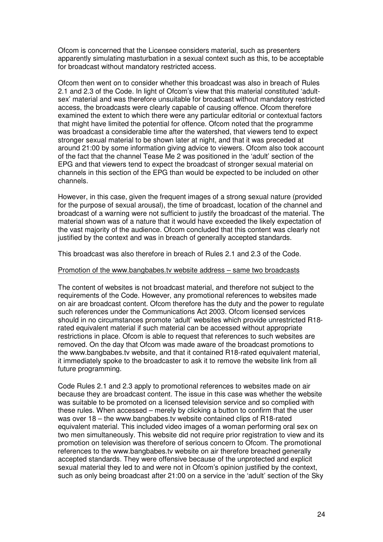Ofcom is concerned that the Licensee considers material, such as presenters apparently simulating masturbation in a sexual context such as this, to be acceptable for broadcast without mandatory restricted access.

Ofcom then went on to consider whether this broadcast was also in breach of Rules 2.1 and 2.3 of the Code. In light of Ofcom's view that this material constituted 'adultsex' material and was therefore unsuitable for broadcast without mandatory restricted access, the broadcasts were clearly capable of causing offence. Ofcom therefore examined the extent to which there were any particular editorial or contextual factors that might have limited the potential for offence. Ofcom noted that the programme was broadcast a considerable time after the watershed, that viewers tend to expect stronger sexual material to be shown later at night, and that it was preceded at around 21:00 by some information giving advice to viewers. Ofcom also took account of the fact that the channel Tease Me 2 was positioned in the 'adult' section of the EPG and that viewers tend to expect the broadcast of stronger sexual material on channels in this section of the EPG than would be expected to be included on other channels.

However, in this case, given the frequent images of a strong sexual nature (provided for the purpose of sexual arousal), the time of broadcast, location of the channel and broadcast of a warning were not sufficient to justify the broadcast of the material. The material shown was of a nature that it would have exceeded the likely expectation of the vast majority of the audience. Ofcom concluded that this content was clearly not justified by the context and was in breach of generally accepted standards.

This broadcast was also therefore in breach of Rules 2.1 and 2.3 of the Code.

#### Promotion of the www.bangbabes.tv website address – same two broadcasts

The content of websites is not broadcast material, and therefore not subject to the requirements of the Code. However, any promotional references to websites made on air are broadcast content. Ofcom therefore has the duty and the power to regulate such references under the Communications Act 2003. Ofcom licensed services should in no circumstances promote 'adult' websites which provide unrestricted R18 rated equivalent material if such material can be accessed without appropriate restrictions in place. Ofcom is able to request that references to such websites are removed. On the day that Ofcom was made aware of the broadcast promotions to the www.bangbabes.tv website, and that it contained R18-rated equivalent material, it immediately spoke to the broadcaster to ask it to remove the website link from all future programming.

Code Rules 2.1 and 2.3 apply to promotional references to websites made on air because they are broadcast content. The issue in this case was whether the website was suitable to be promoted on a licensed television service and so complied with these rules. When accessed – merely by clicking a button to confirm that the user was over 18 – the www.bangbabes.tv website contained clips of R18-rated equivalent material. This included video images of a woman performing oral sex on two men simultaneously. This website did not require prior registration to view and its promotion on television was therefore of serious concern to Ofcom. The promotional references to the www.bangbabes.tv website on air therefore breached generally accepted standards. They were offensive because of the unprotected and explicit sexual material they led to and were not in Ofcom's opinion justified by the context, such as only being broadcast after 21:00 on a service in the 'adult' section of the Sky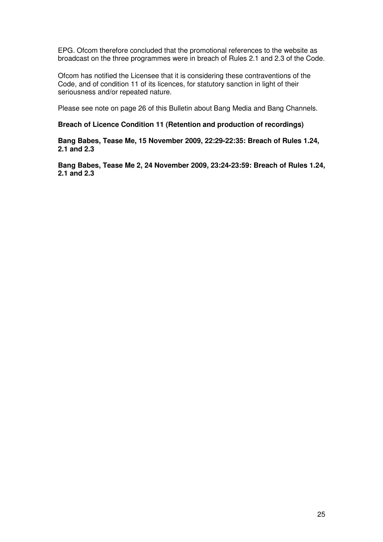EPG. Ofcom therefore concluded that the promotional references to the website as broadcast on the three programmes were in breach of Rules 2.1 and 2.3 of the Code.

Ofcom has notified the Licensee that it is considering these contraventions of the Code, and of condition 11 of its licences, for statutory sanction in light of their seriousness and/or repeated nature.

Please see note on page 26 of this Bulletin about Bang Media and Bang Channels.

#### **Breach of Licence Condition 11 (Retention and production of recordings)**

**Bang Babes, Tease Me, 15 November 2009, 22:29-22:35: Breach of Rules 1.24, 2.1 and 2.3**

**Bang Babes, Tease Me 2, 24 November 2009, 23:24-23:59: Breach of Rules 1.24, 2.1 and 2.3**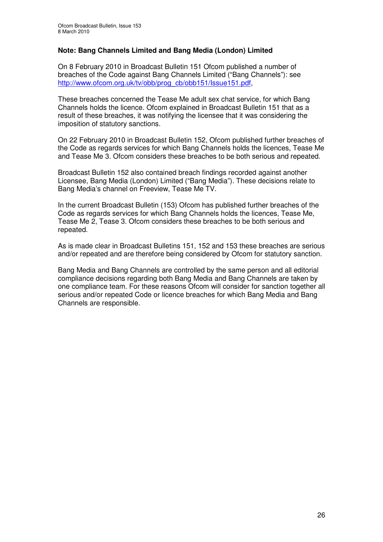#### **Note: Bang Channels Limited and Bang Media (London) Limited**

On 8 February 2010 in Broadcast Bulletin 151 Ofcom published a number of breaches of the Code against Bang Channels Limited ("Bang Channels"): see http://www.ofcom.org.uk/ty/obb/prog\_cb/obb151/Issue151.pdf

These breaches concerned the Tease Me adult sex chat service, for which Bang Channels holds the licence. Ofcom explained in Broadcast Bulletin 151 that as a result of these breaches, it was notifying the licensee that it was considering the imposition of statutory sanctions.

On 22 February 2010 in Broadcast Bulletin 152, Ofcom published further breaches of the Code as regards services for which Bang Channels holds the licences, Tease Me and Tease Me 3. Ofcom considers these breaches to be both serious and repeated.

Broadcast Bulletin 152 also contained breach findings recorded against another Licensee, Bang Media (London) Limited ("Bang Media"). These decisions relate to Bang Media's channel on Freeview, Tease Me TV.

In the current Broadcast Bulletin (153) Ofcom has published further breaches of the Code as regards services for which Bang Channels holds the licences, Tease Me, Tease Me 2, Tease 3. Ofcom considers these breaches to be both serious and repeated.

As is made clear in Broadcast Bulletins 151, 152 and 153 these breaches are serious and/or repeated and are therefore being considered by Ofcom for statutory sanction.

Bang Media and Bang Channels are controlled by the same person and all editorial compliance decisions regarding both Bang Media and Bang Channels are taken by one compliance team. For these reasons Ofcom will consider for sanction together all serious and/or repeated Code or licence breaches for which Bang Media and Bang Channels are responsible.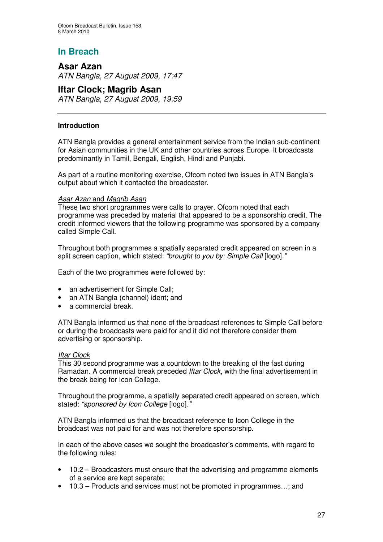## **Asar Azan** *ATN Bangla, 27 August 2009, 17:47*

### **Iftar Clock; Magrib Asan**

*ATN Bangla, 27 August 2009, 19:59*

#### **Introduction**

ATN Bangla provides a general entertainment service from the Indian sub-continent for Asian communities in the UK and other countries across Europe. It broadcasts predominantly in Tamil, Bengali, English, Hindi and Punjabi.

As part of a routine monitoring exercise, Ofcom noted two issues in ATN Bangla's output about which it contacted the broadcaster.

#### *Asar Azan* and *Magrib Asan*

These two short programmes were calls to prayer. Ofcom noted that each programme was preceded by material that appeared to be a sponsorship credit. The credit informed viewers that the following programme was sponsored by a company called Simple Call.

Throughout both programmes a spatially separated credit appeared on screen in a split screen caption, which stated: *"brought to you by: Simple Call* [logo]*."*

Each of the two programmes were followed by:

- an advertisement for Simple Call;
- an ATN Bangla (channel) ident; and
- a commercial break.

ATN Bangla informed us that none of the broadcast references to Simple Call before or during the broadcasts were paid for and it did not therefore consider them advertising or sponsorship.

#### *Iftar Clock*

This 30 second programme was a countdown to the breaking of the fast during Ramadan. A commercial break preceded *Iftar Clock*, with the final advertisement in the break being for Icon College.

Throughout the programme, a spatially separated credit appeared on screen, which stated: *"sponsored by Icon College* [logo]*."*

ATN Bangla informed us that the broadcast reference to Icon College in the broadcast was not paid for and was not therefore sponsorship.

In each of the above cases we sought the broadcaster's comments, with regard to the following rules:

- 10.2 Broadcasters must ensure that the advertising and programme elements of a service are kept separate;
- 10.3 Products and services must not be promoted in programmes…; and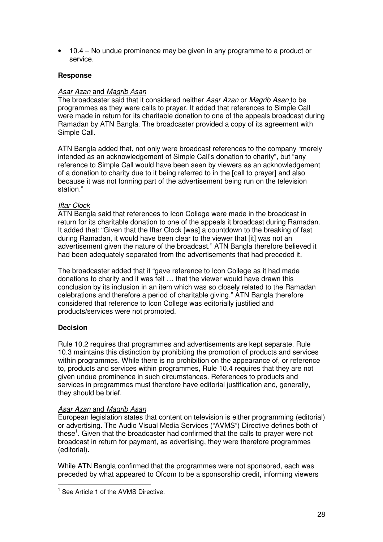• 10.4 – No undue prominence may be given in any programme to a product or service.

#### **Response**

#### *Asar Azan* and *Magrib Asan*

The broadcaster said that it considered neither *Asar Azan* or *Magrib Asan* to be programmes as they were calls to prayer. It added that references to Simple Call were made in return for its charitable donation to one of the appeals broadcast during Ramadan by ATN Bangla. The broadcaster provided a copy of its agreement with Simple Call.

ATN Bangla added that, not only were broadcast references to the company "merely intended as an acknowledgement of Simple Call's donation to charity", but "any reference to Simple Call would have been seen by viewers as an acknowledgement of a donation to charity due to it being referred to in the [call to prayer] and also because it was not forming part of the advertisement being run on the television station."

#### *Iftar Clock*

ATN Bangla said that references to Icon College were made in the broadcast in return for its charitable donation to one of the appeals it broadcast during Ramadan. It added that: "Given that the Iftar Clock [was] a countdown to the breaking of fast during Ramadan, it would have been clear to the viewer that [it] was not an advertisement given the nature of the broadcast." ATN Bangla therefore believed it had been adequately separated from the advertisements that had preceded it.

The broadcaster added that it "gave reference to Icon College as it had made donations to charity and it was felt … that the viewer would have drawn this conclusion by its inclusion in an item which was so closely related to the Ramadan celebrations and therefore a period of charitable giving." ATN Bangla therefore considered that reference to Icon College was editorially justified and products/services were not promoted.

#### **Decision**

Rule 10.2 requires that programmes and advertisements are kept separate. Rule 10.3 maintains this distinction by prohibiting the promotion of products and services within programmes. While there is no prohibition on the appearance of, or reference to, products and services within programmes, Rule 10.4 requires that they are not given undue prominence in such circumstances. References to products and services in programmes must therefore have editorial justification and, generally, they should be brief.

#### *Asar Azan* and *Magrib Asan*

European legislation states that content on television is either programming (editorial) or advertising. The Audio Visual Media Services ("AVMS") Directive defines both of these<sup>1</sup>. Given that the broadcaster had confirmed that the calls to prayer were not broadcast in return for payment, as advertising, they were therefore programmes (editorial).

While ATN Bangla confirmed that the programmes were not sponsored, each was preceded by what appeared to Ofcom to be a sponsorship credit, informing viewers

<sup>&</sup>lt;sup>1</sup> See Article 1 of the AVMS Directive.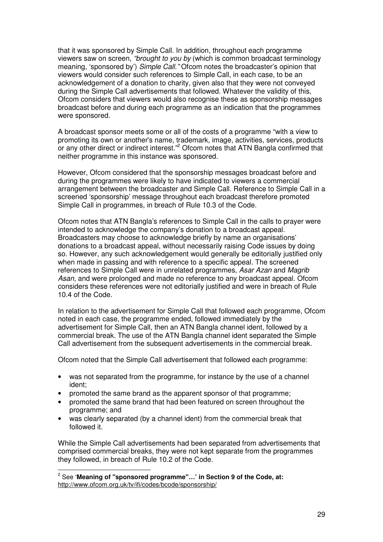that it was sponsored by Simple Call. In addition, throughout each programme viewers saw on screen, *"brought to you by* (which is common broadcast terminology meaning, 'sponsored by') *Simple Call."* Ofcom notes the broadcaster's opinion that viewers would consider such references to Simple Call, in each case, to be an acknowledgement of a donation to charity, given also that they were not conveyed during the Simple Call advertisements that followed. Whatever the validity of this, Ofcom considers that viewers would also recognise these as sponsorship messages broadcast before and during each programme as an indication that the programmes were sponsored.

A broadcast sponsor meets some or all of the costs of a programme "with a view to promoting its own or another's name, trademark, image, activities, services, products or any other direct or indirect interest."<sup>2</sup> Ofcom notes that ATN Bangla confirmed that neither programme in this instance was sponsored.

However, Ofcom considered that the sponsorship messages broadcast before and during the programmes were likely to have indicated to viewers a commercial arrangement between the broadcaster and Simple Call. Reference to Simple Call in a screened 'sponsorship' message throughout each broadcast therefore promoted Simple Call in programmes, in breach of Rule 10.3 of the Code.

Ofcom notes that ATN Bangla's references to Simple Call in the calls to prayer were intended to acknowledge the company's donation to a broadcast appeal. Broadcasters may choose to acknowledge briefly by name an organisations' donations to a broadcast appeal, without necessarily raising Code issues by doing so. However, any such acknowledgement would generally be editorially justified only when made in passing and with reference to a specific appeal. The screened references to Simple Call were in unrelated programmes, *Asar Azan* and *Magrib Asan,* and were prolonged and made no reference to any broadcast appeal. Ofcom considers these references were not editorially justified and were in breach of Rule 10.4 of the Code.

In relation to the advertisement for Simple Call that followed each programme, Ofcom noted in each case, the programme ended, followed immediately by the advertisement for Simple Call, then an ATN Bangla channel ident, followed by a commercial break. The use of the ATN Bangla channel ident separated the Simple Call advertisement from the subsequent advertisements in the commercial break.

Ofcom noted that the Simple Call advertisement that followed each programme:

- was not separated from the programme, for instance by the use of a channel ident;
- promoted the same brand as the apparent sponsor of that programme;
- promoted the same brand that had been featured on screen throughout the programme; and
- was clearly separated (by a channel ident) from the commercial break that followed it.

While the Simple Call advertisements had been separated from advertisements that comprised commercial breaks, they were not kept separate from the programmes they followed, in breach of Rule 10.2 of the Code.

<sup>2</sup> See '**Meaning of "sponsored programme"…' in Section 9 of the Code, at:** http://www.ofcom.org.uk/tv/ifi/codes/bcode/sponsorship/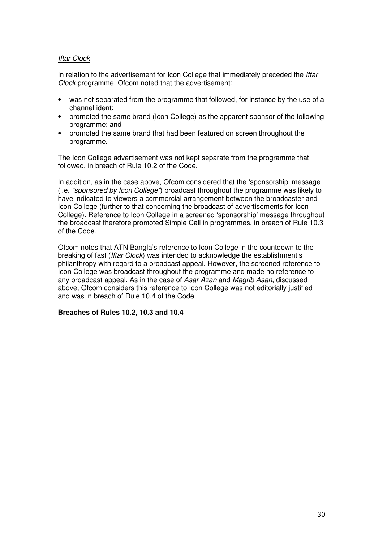#### *Iftar Clock*

In relation to the advertisement for Icon College that immediately preceded the *Iftar Clock* programme, Ofcom noted that the advertisement:

- was not separated from the programme that followed, for instance by the use of a channel ident;
- promoted the same brand (Icon College) as the apparent sponsor of the following programme; and
- promoted the same brand that had been featured on screen throughout the programme.

The Icon College advertisement was not kept separate from the programme that followed, in breach of Rule 10.2 of the Code.

In addition, as in the case above, Ofcom considered that the 'sponsorship' message (i.e. *"sponsored by Icon College"*) broadcast throughout the programme was likely to have indicated to viewers a commercial arrangement between the broadcaster and Icon College (further to that concerning the broadcast of advertisements for Icon College). Reference to Icon College in a screened 'sponsorship' message throughout the broadcast therefore promoted Simple Call in programmes, in breach of Rule 10.3 of the Code.

Ofcom notes that ATN Bangla's reference to Icon College in the countdown to the breaking of fast (*Iftar Clock*) was intended to acknowledge the establishment's philanthropy with regard to a broadcast appeal. However, the screened reference to Icon College was broadcast throughout the programme and made no reference to any broadcast appeal. As in the case of *Asar Azan* and *Magrib Asan*, discussed above, Ofcom considers this reference to Icon College was not editorially justified and was in breach of Rule 10.4 of the Code.

#### **Breaches of Rules 10.2, 10.3 and 10.4**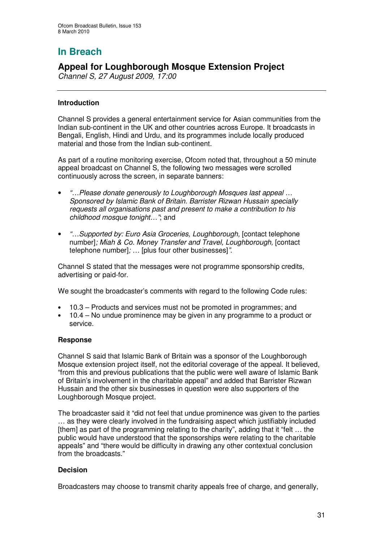## **Appeal for Loughborough Mosque Extension Project**

*Channel S, 27 August 2009, 17:00*

#### **Introduction**

Channel S provides a general entertainment service for Asian communities from the Indian sub-continent in the UK and other countries across Europe. It broadcasts in Bengali, English, Hindi and Urdu, and its programmes include locally produced material and those from the Indian sub-continent.

As part of a routine monitoring exercise, Ofcom noted that, throughout a 50 minute appeal broadcast on Channel S, the following two messages were scrolled continuously across the screen, in separate banners:

- *"…Please donate generously to Loughborough Mosques last appeal … Sponsored by Islamic Bank of Britain. Barrister Rizwan Hussain specially requests all organisations past and present to make a contribution to his childhood mosque tonight…"*; and
- *"…Supported by: Euro Asia Groceries, Loughborough,* [contact telephone number]*; Miah & Co. Money Transfer and Travel, Loughborough,* [contact telephone number]*; …* [plus four other businesses]*"*.

Channel S stated that the messages were not programme sponsorship credits, advertising or paid-for.

We sought the broadcaster's comments with regard to the following Code rules:

- 10.3 Products and services must not be promoted in programmes; and
- 10.4 No undue prominence may be given in any programme to a product or service.

#### **Response**

Channel S said that Islamic Bank of Britain was a sponsor of the Loughborough Mosque extension project itself, not the editorial coverage of the appeal. It believed, "from this and previous publications that the public were well aware of Islamic Bank of Britain's involvement in the charitable appeal" and added that Barrister Rizwan Hussain and the other six businesses in question were also supporters of the Loughborough Mosque project.

The broadcaster said it "did not feel that undue prominence was given to the parties … as they were clearly involved in the fundraising aspect which justifiably included [them] as part of the programming relating to the charity", adding that it "felt ... the public would have understood that the sponsorships were relating to the charitable appeals" and "there would be difficulty in drawing any other contextual conclusion from the broadcasts."

#### **Decision**

Broadcasters may choose to transmit charity appeals free of charge, and generally,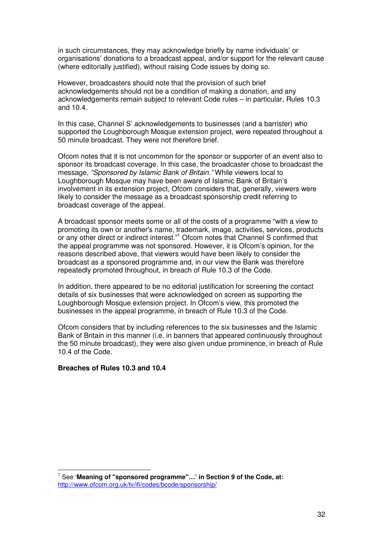in such circumstances, they may acknowledge briefly by name individuals' or organisations' donations to a broadcast appeal, and/or support for the relevant cause (where editorially justified), without raising Code issues by doing so.

However, broadcasters should note that the provision of such brief acknowledgements should not be a condition of making a donation, and any acknowledgements remain subject to relevant Code rules – in particular, Rules 10.3 and 10.4.

In this case, Channel S' acknowledgements to businesses (and a barrister) who supported the Loughborough Mosque extension project, were repeated throughout a 50 minute broadcast. They were not therefore brief.

Ofcom notes that it is not uncommon for the sponsor or supporter of an event also to sponsor its broadcast coverage. In this case, the broadcaster chose to broadcast the message, *"Sponsored by Islamic Bank of Britain."* While viewers local to Loughborough Mosque may have been aware of Islamic Bank of Britain's involvement in its extension project, Ofcom considers that, generally, viewers were likely to consider the message as a broadcast sponsorship credit referring to broadcast coverage of the appeal.

A broadcast sponsor meets some or all of the costs of a programme "with a view to promoting its own or another's name, trademark, image, activities, services, products or any other direct or indirect interest." <sup>1</sup> Ofcom notes that Channel S confirmed that the appeal programme was not sponsored. However, it is Ofcom's opinion, for the reasons described above, that viewers would have been likely to consider the broadcast as a sponsored programme and, in our view the Bank was therefore repeatedly promoted throughout, in breach of Rule 10.3 of the Code.

In addition, there appeared to be no editorial justification for screening the contact details of six businesses that were acknowledged on screen as supporting the Loughborough Mosque extension project. In Ofcom's view, this promoted the businesses in the appeal programme, in breach of Rule 10.3 of the Code.

Ofcom considers that by including references to the six businesses and the Islamic Bank of Britain in this manner (i.e. in banners that appeared continuously throughout the 50 minute broadcast), they were also given undue prominence, in breach of Rule 10.4 of the Code.

#### **Breaches of Rules 10.3 and 10.4**

<sup>1</sup> See '**Meaning of "sponsored programme"…' in Section 9 of the Code, at:** http://www.ofcom.org.uk/tv/ifi/codes/bcode/sponsorship/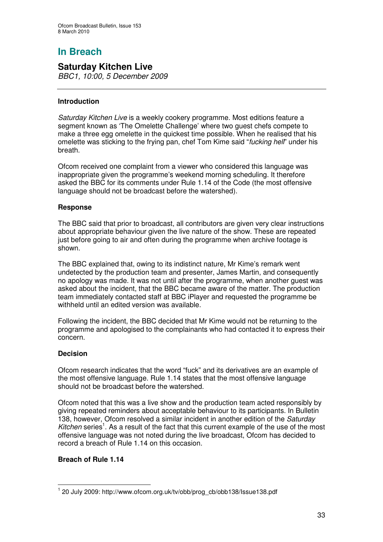## **Saturday Kitchen Live**

*BBC1, 10:00, 5 December 2009*

#### **Introduction**

*Saturday Kitchen Live* is a weekly cookery programme. Most editions feature a segment known as 'The Omelette Challenge' where two guest chefs compete to make a three egg omelette in the quickest time possible. When he realised that his omelette was sticking to the frying pan, chef Tom Kime said "*fucking hell*" under his breath.

Ofcom received one complaint from a viewer who considered this language was inappropriate given the programme's weekend morning scheduling. It therefore asked the BBC for its comments under Rule 1.14 of the Code (the most offensive language should not be broadcast before the watershed).

#### **Response**

The BBC said that prior to broadcast, all contributors are given very clear instructions about appropriate behaviour given the live nature of the show. These are repeated just before going to air and often during the programme when archive footage is shown.

The BBC explained that, owing to its indistinct nature, Mr Kime's remark went undetected by the production team and presenter, James Martin, and consequently no apology was made. It was not until after the programme, when another guest was asked about the incident, that the BBC became aware of the matter. The production team immediately contacted staff at BBC iPlayer and requested the programme be withheld until an edited version was available.

Following the incident, the BBC decided that Mr Kime would not be returning to the programme and apologised to the complainants who had contacted it to express their concern.

#### **Decision**

Ofcom research indicates that the word "fuck" and its derivatives are an example of the most offensive language. Rule 1.14 states that the most offensive language should not be broadcast before the watershed.

Ofcom noted that this was a live show and the production team acted responsibly by giving repeated reminders about acceptable behaviour to its participants. In Bulletin 138, however, Ofcom resolved a similar incident in another edition of the *Saturday* Kitchen series<sup>1</sup>. As a result of the fact that this current example of the use of the most offensive language was not noted during the live broadcast, Ofcom has decided to record a breach of Rule 1.14 on this occasion.

#### **Breach of Rule 1.14**

<sup>1</sup> 20 July 2009: http://www.ofcom.org.uk/tv/obb/prog\_cb/obb138/Issue138.pdf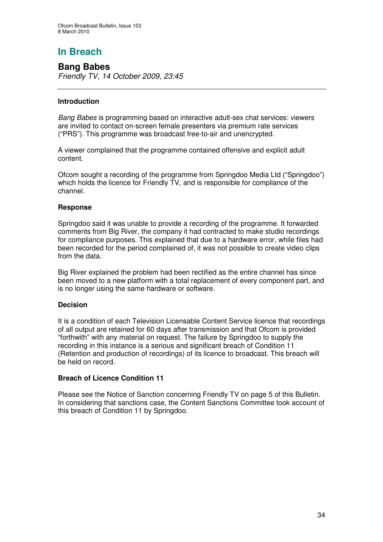**Bang Babes** *Friendly TV, 14 October 2009, 23:45*

#### **Introduction**

*Bang Babes* is programming based on interactive adult-sex chat services: viewers are invited to contact on-screen female presenters via premium rate services ("PRS"). This programme was broadcast free-to-air and unencrypted.

A viewer complained that the programme contained offensive and explicit adult content.

Ofcom sought a recording of the programme from Springdoo Media Ltd ("Springdoo") which holds the licence for Friendly TV, and is responsible for compliance of the channel.

#### **Response**

Springdoo said it was unable to provide a recording of the programme. It forwarded comments from Big River, the company it had contracted to make studio recordings for compliance purposes. This explained that due to a hardware error, while files had been recorded for the period complained of, it was not possible to create video clips from the data.

Big River explained the problem had been rectified as the entire channel has since been moved to a new platform with a total replacement of every component part, and is no longer using the same hardware or software.

#### **Decision**

It is a condition of each Television Licensable Content Service licence that recordings of all output are retained for 60 days after transmission and that Ofcom is provided "forthwith" with any material on request. The failure by Springdoo to supply the recording in this instance is a serious and significant breach of Condition 11 (Retention and production of recordings) of its licence to broadcast. This breach will be held on record.

#### **Breach of Licence Condition 11**

Please see the Notice of Sanction concerning Friendly TV on page 5 of this Bulletin. In considering that sanctions case, the Content Sanctions Committee took account of this breach of Condition 11 by Springdoo.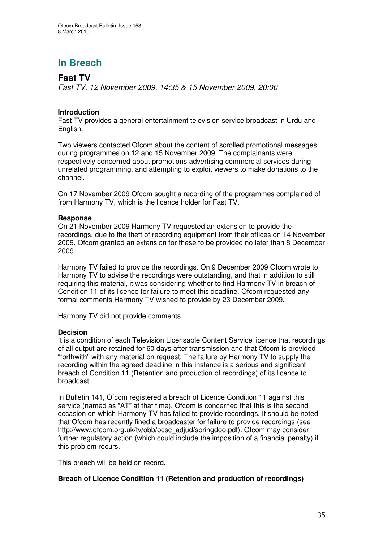## **Fast TV**

*Fast TV, 12 November 2009, 14:35 & 15 November 2009, 20:00*

#### **Introduction**

Fast TV provides a general entertainment television service broadcast in Urdu and English.

Two viewers contacted Ofcom about the content of scrolled promotional messages during programmes on 12 and 15 November 2009. The complainants were respectively concerned about promotions advertising commercial services during unrelated programming, and attempting to exploit viewers to make donations to the channel.

On 17 November 2009 Ofcom sought a recording of the programmes complained of from Harmony TV, which is the licence holder for Fast TV.

#### **Response**

On 21 November 2009 Harmony TV requested an extension to provide the recordings, due to the theft of recording equipment from their offices on 14 November 2009. Ofcom granted an extension for these to be provided no later than 8 December 2009.

Harmony TV failed to provide the recordings. On 9 December 2009 Ofcom wrote to Harmony TV to advise the recordings were outstanding, and that in addition to still requiring this material, it was considering whether to find Harmony TV in breach of Condition 11 of its licence for failure to meet this deadline. Ofcom requested any formal comments Harmony TV wished to provide by 23 December 2009.

Harmony TV did not provide comments.

#### **Decision**

It is a condition of each Television Licensable Content Service licence that recordings of all output are retained for 60 days after transmission and that Ofcom is provided "forthwith" with any material on request. The failure by Harmony TV to supply the recording within the agreed deadline in this instance is a serious and significant breach of Condition 11 (Retention and production of recordings) of its licence to broadcast.

In Bulletin 141, Ofcom registered a breach of Licence Condition 11 against this service (named as "AT" at that time). Ofcom is concerned that this is the second occasion on which Harmony TV has failed to provide recordings. It should be noted that Ofcom has recently fined a broadcaster for failure to provide recordings (see http://www.ofcom.org.uk/tv/obb/ocsc\_adjud/springdoo.pdf). Ofcom may consider further regulatory action (which could include the imposition of a financial penalty) if this problem recurs.

This breach will be held on record.

#### **Breach of Licence Condition 11 (Retention and production of recordings)**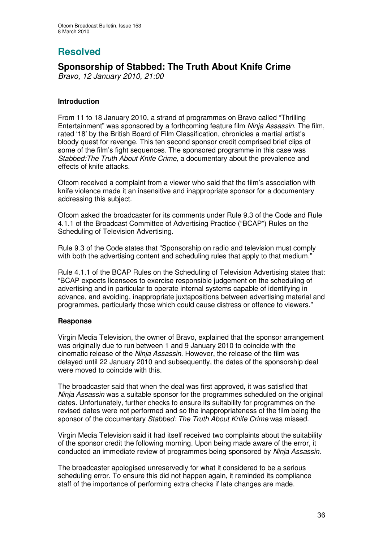# **Resolved**

## **Sponsorship of Stabbed: The Truth About Knife Crime**

*Bravo, 12 January 2010, 21:00*

#### **Introduction**

From 11 to 18 January 2010, a strand of programmes on Bravo called "Thrilling Entertainment" was sponsored by a forthcoming feature film *Ninja Assassin*. The film, rated '18' by the British Board of Film Classification*,* chronicles a martial artist's bloody quest for revenge. This ten second sponsor credit comprised brief clips of some of the film's fight sequences. The sponsored programme in this case was *Stabbed:The Truth About Knife Crime,* a documentary about the prevalence and effects of knife attacks.

Ofcom received a complaint from a viewer who said that the film's association with knife violence made it an insensitive and inappropriate sponsor for a documentary addressing this subject.

Ofcom asked the broadcaster for its comments under Rule 9.3 of the Code and Rule 4.1.1 of the Broadcast Committee of Advertising Practice ("BCAP") Rules on the Scheduling of Television Advertising.

Rule 9.3 of the Code states that "Sponsorship on radio and television must comply with both the advertising content and scheduling rules that apply to that medium."

Rule 4.1.1 of the BCAP Rules on the Scheduling of Television Advertising states that: "BCAP expects licensees to exercise responsible judgement on the scheduling of advertising and in particular to operate internal systems capable of identifying in advance, and avoiding, inappropriate juxtapositions between advertising material and programmes, particularly those which could cause distress or offence to viewers."

#### **Response**

Virgin Media Television, the owner of Bravo, explained that the sponsor arrangement was originally due to run between 1 and 9 January 2010 to coincide with the cinematic release of the *Ninja Assassin*. However, the release of the film was delayed until 22 January 2010 and subsequently, the dates of the sponsorship deal were moved to coincide with this.

The broadcaster said that when the deal was first approved, it was satisfied that *Ninja Assassin* was a suitable sponsor for the programmes scheduled on the original dates. Unfortunately, further checks to ensure its suitability for programmes on the revised dates were not performed and so the inappropriateness of the film being the sponsor of the documentary *Stabbed: The Truth About Knife Crime* was missed.

Virgin Media Television said it had itself received two complaints about the suitability of the sponsor credit the following morning. Upon being made aware of the error, it conducted an immediate review of programmes being sponsored by *Ninja Assassin*.

The broadcaster apologised unreservedly for what it considered to be a serious scheduling error. To ensure this did not happen again, it reminded its compliance staff of the importance of performing extra checks if late changes are made.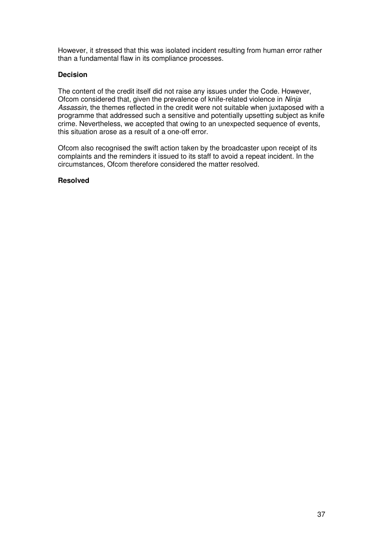However, it stressed that this was isolated incident resulting from human error rather than a fundamental flaw in its compliance processes.

#### **Decision**

The content of the credit itself did not raise any issues under the Code. However, Ofcom considered that, given the prevalence of knife-related violence in *Ninja Assassin*, the themes reflected in the credit were not suitable when juxtaposed with a programme that addressed such a sensitive and potentially upsetting subject as knife crime. Nevertheless, we accepted that owing to an unexpected sequence of events, this situation arose as a result of a one-off error.

Ofcom also recognised the swift action taken by the broadcaster upon receipt of its complaints and the reminders it issued to its staff to avoid a repeat incident. In the circumstances, Ofcom therefore considered the matter resolved.

#### **Resolved**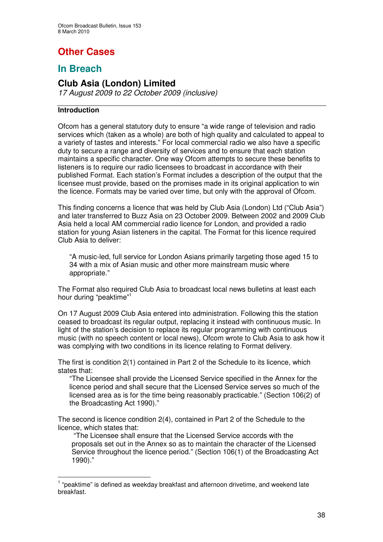# **Other Cases**

## **In Breach**

## **Club Asia (London) Limited**

*17 August 2009 to 22 October 2009 (inclusive)*

#### **Introduction**

Ofcom has a general statutory duty to ensure "a wide range of television and radio services which (taken as a whole) are both of high quality and calculated to appeal to a variety of tastes and interests." For local commercial radio we also have a specific duty to secure a range and diversity of services and to ensure that each station maintains a specific character. One way Ofcom attempts to secure these benefits to listeners is to require our radio licensees to broadcast in accordance with their published Format. Each station's Format includes a description of the output that the licensee must provide, based on the promises made in its original application to win the licence. Formats may be varied over time, but only with the approval of Ofcom.

This finding concerns a licence that was held by Club Asia (London) Ltd ("Club Asia") and later transferred to Buzz Asia on 23 October 2009. Between 2002 and 2009 Club Asia held a local AM commercial radio licence for London, and provided a radio station for young Asian listeners in the capital. The Format for this licence required Club Asia to deliver:

"A music-led, full service for London Asians primarily targeting those aged 15 to 34 with a mix of Asian music and other more mainstream music where appropriate."

The Format also required Club Asia to broadcast local news bulletins at least each hour during "peaktime"<sup>1</sup>

On 17 August 2009 Club Asia entered into administration. Following this the station ceased to broadcast its regular output, replacing it instead with continuous music. In light of the station's decision to replace its regular programming with continuous music (with no speech content or local news), Ofcom wrote to Club Asia to ask how it was complying with two conditions in its licence relating to Format delivery.

The first is condition 2(1) contained in Part 2 of the Schedule to its licence, which states that:

"The Licensee shall provide the Licensed Service specified in the Annex for the licence period and shall secure that the Licensed Service serves so much of the licensed area as is for the time being reasonably practicable." (Section 106(2) of the Broadcasting Act 1990)."

The second is licence condition 2(4), contained in Part 2 of the Schedule to the licence, which states that:

"The Licensee shall ensure that the Licensed Service accords with the proposals set out in the Annex so as to maintain the character of the Licensed Service throughout the licence period." (Section 106(1) of the Broadcasting Act 1990)."

 $<sup>1</sup>$  "peaktime" is defined as weekday breakfast and afternoon drivetime, and weekend late</sup> breakfast.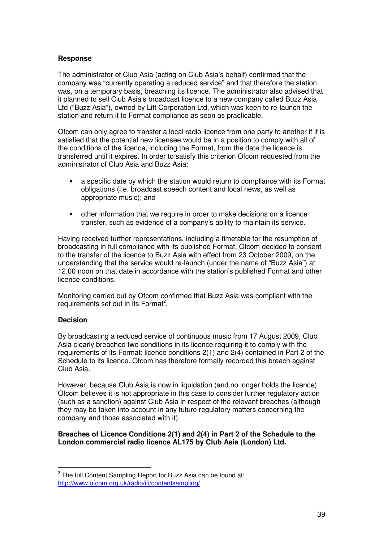#### **Response**

The administrator of Club Asia (acting on Club Asia's behalf) confirmed that the company was "currently operating a reduced service" and that therefore the station was, on a temporary basis, breaching its licence. The administrator also advised that it planned to sell Club Asia's broadcast licence to a new company called Buzz Asia Ltd ("Buzz Asia"), owned by Litt Corporation Ltd, which was keen to re-launch the station and return it to Format compliance as soon as practicable.

Ofcom can only agree to transfer a local radio licence from one party to another if it is satisfied that the potential new licensee would be in a position to comply with all of the conditions of the licence, including the Format, from the date the licence is transferred until it expires. In order to satisfy this criterion Ofcom requested from the administrator of Club Asia and Buzz Asia:

- a specific date by which the station would return to compliance with its Format obligations (i.e. broadcast speech content and local news, as well as appropriate music); and
- other information that we require in order to make decisions on a licence transfer, such as evidence of a company's ability to maintain its service.

Having received further representations, including a timetable for the resumption of broadcasting in full compliance with its published Format, Ofcom decided to consent to the transfer of the licence to Buzz Asia with effect from 23 October 2009, on the understanding that the service would re-launch (under the name of "Buzz Asia") at 12.00 noon on that date in accordance with the station's published Format and other licence conditions.

Monitoring carried out by Ofcom confirmed that Buzz Asia was compliant with the requirements set out in its Format<sup>2</sup>.

#### **Decision**

By broadcasting a reduced service of continuous music from 17 August 2009, Club Asia clearly breached two conditions in its licence requiring it to comply with the requirements of its Format: licence conditions 2(1) and 2(4) contained in Part 2 of the Schedule to its licence. Ofcom has therefore formally recorded this breach against Club Asia.

However, because Club Asia is now in liquidation (and no longer holds the licence), Ofcom believes it is not appropriate in this case to consider further regulatory action (such as a sanction) against Club Asia in respect of the relevant breaches (although they may be taken into account in any future regulatory matters concerning the company and those associated with it).

#### **Breaches of Licence Conditions 2(1) and 2(4) in Part 2 of the Schedule to the London commercial radio licence AL175 by Club Asia (London) Ltd.**

 $2$  The full Content Sampling Report for Buzz Asia can be found at: http://www.ofcom.org.uk/radio/ifi/contentsampling/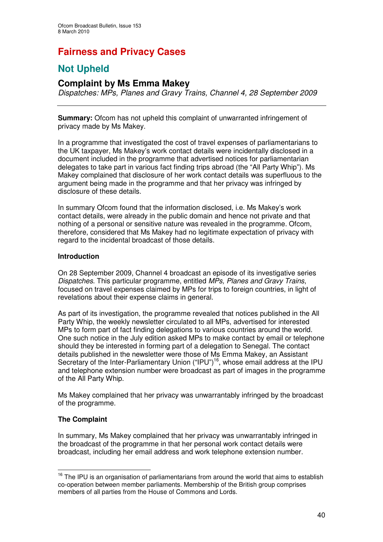# **Fairness and Privacy Cases**

## **Not Upheld**

## **Complaint by Ms Emma Makey**

*Dispatches: MPs, Planes and Gravy Trains, Channel 4, 28 September 2009*

**Summary:** Ofcom has not upheld this complaint of unwarranted infringement of privacy made by Ms Makey.

In a programme that investigated the cost of travel expenses of parliamentarians to the UK taxpayer, Ms Makey's work contact details were incidentally disclosed in a document included in the programme that advertised notices for parliamentarian delegates to take part in various fact finding trips abroad (the "All Party Whip"). Ms Makey complained that disclosure of her work contact details was superfluous to the argument being made in the programme and that her privacy was infringed by disclosure of these details.

In summary Ofcom found that the information disclosed, i.e. Ms Makey's work contact details, were already in the public domain and hence not private and that nothing of a personal or sensitive nature was revealed in the programme. Ofcom, therefore, considered that Ms Makey had no legitimate expectation of privacy with regard to the incidental broadcast of those details.

#### **Introduction**

On 28 September 2009, Channel 4 broadcast an episode of its investigative series *Dispatches*. This particular programme, entitled *MPs, Planes and Gravy Trains*, focused on travel expenses claimed by MPs for trips to foreign countries, in light of revelations about their expense claims in general.

As part of its investigation, the programme revealed that notices published in the All Party Whip, the weekly newsletter circulated to all MPs, advertised for interested MPs to form part of fact finding delegations to various countries around the world. One such notice in the July edition asked MPs to make contact by email or telephone should they be interested in forming part of a delegation to Senegal. The contact details published in the newsletter were those of Ms Emma Makey, an Assistant Secretary of the Inter-Parliamentary Union ("IPU")<sup>16</sup>, whose email address at the IPU and telephone extension number were broadcast as part of images in the programme of the All Party Whip.

Ms Makey complained that her privacy was unwarrantably infringed by the broadcast of the programme.

#### **The Complaint**

In summary, Ms Makey complained that her privacy was unwarrantably infringed in the broadcast of the programme in that her personal work contact details were broadcast, including her email address and work telephone extension number.

<sup>&</sup>lt;sup>16</sup> The IPU is an organisation of parliamentarians from around the world that aims to establish co-operation between member parliaments. Membership of the British group comprises members of all parties from the House of Commons and Lords.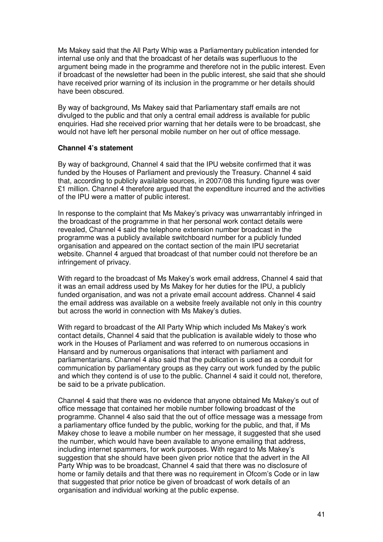Ms Makey said that the All Party Whip was a Parliamentary publication intended for internal use only and that the broadcast of her details was superfluous to the argument being made in the programme and therefore not in the public interest. Even if broadcast of the newsletter had been in the public interest, she said that she should have received prior warning of its inclusion in the programme or her details should have been obscured.

By way of background, Ms Makey said that Parliamentary staff emails are not divulged to the public and that only a central email address is available for public enquiries. Had she received prior warning that her details were to be broadcast, she would not have left her personal mobile number on her out of office message.

#### **Channel 4's statement**

By way of background, Channel 4 said that the IPU website confirmed that it was funded by the Houses of Parliament and previously the Treasury. Channel 4 said that, according to publicly available sources, in 2007/08 this funding figure was over £1 million. Channel 4 therefore argued that the expenditure incurred and the activities of the IPU were a matter of public interest.

In response to the complaint that Ms Makey's privacy was unwarrantably infringed in the broadcast of the programme in that her personal work contact details were revealed, Channel 4 said the telephone extension number broadcast in the programme was a publicly available switchboard number for a publicly funded organisation and appeared on the contact section of the main IPU secretariat website. Channel 4 argued that broadcast of that number could not therefore be an infringement of privacy.

With regard to the broadcast of Ms Makey's work email address, Channel 4 said that it was an email address used by Ms Makey for her duties for the IPU, a publicly funded organisation, and was not a private email account address. Channel 4 said the email address was available on a website freely available not only in this country but across the world in connection with Ms Makey's duties.

With regard to broadcast of the All Party Whip which included Ms Makey's work contact details, Channel 4 said that the publication is available widely to those who work in the Houses of Parliament and was referred to on numerous occasions in Hansard and by numerous organisations that interact with parliament and parliamentarians. Channel 4 also said that the publication is used as a conduit for communication by parliamentary groups as they carry out work funded by the public and which they contend is of use to the public. Channel 4 said it could not, therefore, be said to be a private publication.

Channel 4 said that there was no evidence that anyone obtained Ms Makey's out of office message that contained her mobile number following broadcast of the programme. Channel 4 also said that the out of office message was a message from a parliamentary office funded by the public, working for the public, and that, if Ms Makey chose to leave a mobile number on her message, it suggested that she used the number, which would have been available to anyone emailing that address, including internet spammers, for work purposes. With regard to Ms Makey's suggestion that she should have been given prior notice that the advert in the All Party Whip was to be broadcast, Channel 4 said that there was no disclosure of home or family details and that there was no requirement in Ofcom's Code or in law that suggested that prior notice be given of broadcast of work details of an organisation and individual working at the public expense.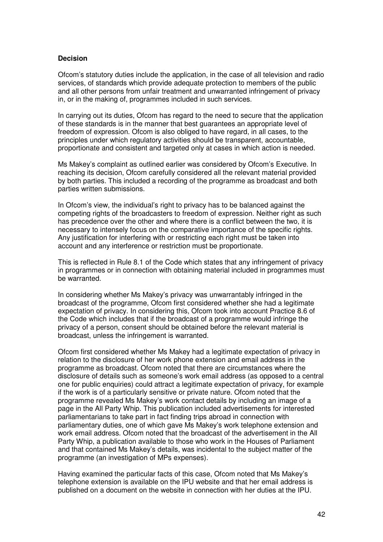#### **Decision**

Ofcom's statutory duties include the application, in the case of all television and radio services, of standards which provide adequate protection to members of the public and all other persons from unfair treatment and unwarranted infringement of privacy in, or in the making of, programmes included in such services.

In carrying out its duties, Ofcom has regard to the need to secure that the application of these standards is in the manner that best guarantees an appropriate level of freedom of expression. Ofcom is also obliged to have regard, in all cases, to the principles under which regulatory activities should be transparent, accountable, proportionate and consistent and targeted only at cases in which action is needed.

Ms Makey's complaint as outlined earlier was considered by Ofcom's Executive. In reaching its decision, Ofcom carefully considered all the relevant material provided by both parties. This included a recording of the programme as broadcast and both parties written submissions.

In Ofcom's view, the individual's right to privacy has to be balanced against the competing rights of the broadcasters to freedom of expression. Neither right as such has precedence over the other and where there is a conflict between the two, it is necessary to intensely focus on the comparative importance of the specific rights. Any justification for interfering with or restricting each right must be taken into account and any interference or restriction must be proportionate.

This is reflected in Rule 8.1 of the Code which states that any infringement of privacy in programmes or in connection with obtaining material included in programmes must be warranted.

In considering whether Ms Makey's privacy was unwarrantably infringed in the broadcast of the programme, Ofcom first considered whether she had a legitimate expectation of privacy. In considering this, Ofcom took into account Practice 8.6 of the Code which includes that if the broadcast of a programme would infringe the privacy of a person, consent should be obtained before the relevant material is broadcast, unless the infringement is warranted.

Ofcom first considered whether Ms Makey had a legitimate expectation of privacy in relation to the disclosure of her work phone extension and email address in the programme as broadcast. Ofcom noted that there are circumstances where the disclosure of details such as someone's work email address (as opposed to a central one for public enquiries) could attract a legitimate expectation of privacy, for example if the work is of a particularly sensitive or private nature. Ofcom noted that the programme revealed Ms Makey's work contact details by including an image of a page in the All Party Whip. This publication included advertisements for interested parliamentarians to take part in fact finding trips abroad in connection with parliamentary duties, one of which gave Ms Makey's work telephone extension and work email address. Ofcom noted that the broadcast of the advertisement in the All Party Whip, a publication available to those who work in the Houses of Parliament and that contained Ms Makey's details, was incidental to the subject matter of the programme (an investigation of MPs expenses).

Having examined the particular facts of this case, Ofcom noted that Ms Makey's telephone extension is available on the IPU website and that her email address is published on a document on the website in connection with her duties at the IPU.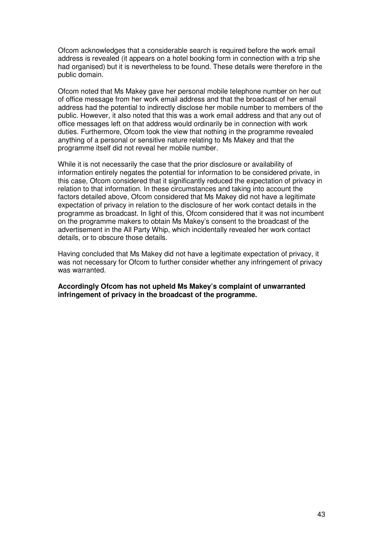Ofcom acknowledges that a considerable search is required before the work email address is revealed (it appears on a hotel booking form in connection with a trip she had organised) but it is nevertheless to be found. These details were therefore in the public domain.

Ofcom noted that Ms Makey gave her personal mobile telephone number on her out of office message from her work email address and that the broadcast of her email address had the potential to indirectly disclose her mobile number to members of the public. However, it also noted that this was a work email address and that any out of office messages left on that address would ordinarily be in connection with work duties. Furthermore, Ofcom took the view that nothing in the programme revealed anything of a personal or sensitive nature relating to Ms Makey and that the programme itself did not reveal her mobile number.

While it is not necessarily the case that the prior disclosure or availability of information entirely negates the potential for information to be considered private, in this case. Ofcom considered that it significantly reduced the expectation of privacy in relation to that information. In these circumstances and taking into account the factors detailed above, Ofcom considered that Ms Makey did not have a legitimate expectation of privacy in relation to the disclosure of her work contact details in the programme as broadcast. In light of this, Ofcom considered that it was not incumbent on the programme makers to obtain Ms Makey's consent to the broadcast of the advertisement in the All Party Whip, which incidentally revealed her work contact details, or to obscure those details.

Having concluded that Ms Makey did not have a legitimate expectation of privacy, it was not necessary for Ofcom to further consider whether any infringement of privacy was warranted.

**Accordingly Ofcom has not upheld Ms Makey's complaint of unwarranted infringement of privacy in the broadcast of the programme.**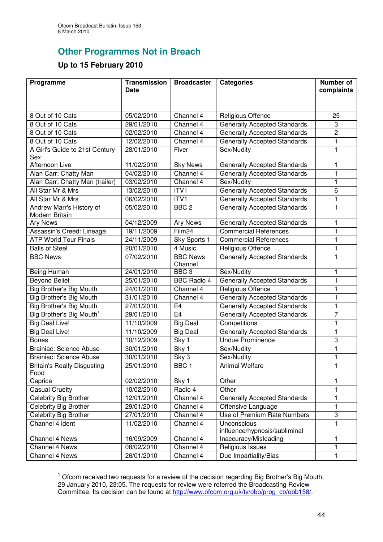## **Other Programmes Not in Breach**

## **Up to 15 February 2010**

| Programme                                  | <b>Transmission</b> | <b>Broadcaster</b>         | <b>Categories</b>                   | Number of               |
|--------------------------------------------|---------------------|----------------------------|-------------------------------------|-------------------------|
|                                            | <b>Date</b>         |                            |                                     | complaints              |
|                                            |                     |                            |                                     |                         |
| 8 Out of 10 Cats                           | 05/02/2010          | Channel 4                  | <b>Religious Offence</b>            | 25                      |
| 8 Out of 10 Cats                           | 29/01/2010          | Channel 4                  | <b>Generally Accepted Standards</b> | 3                       |
| 8 Out of 10 Cats                           | 02/02/2010          | Channel 4                  | <b>Generally Accepted Standards</b> | $\overline{\mathbf{c}}$ |
| 8 Out of 10 Cats                           | 12/02/2010          | Channel 4                  | <b>Generally Accepted Standards</b> | 1                       |
| A Girl's Guide to 21st Century             | 28/01/2010          | Fiver                      | Sex/Nudity                          | 1                       |
| Sex                                        |                     |                            |                                     |                         |
| Afternoon Live                             | 11/02/2010          | <b>Sky News</b>            | <b>Generally Accepted Standards</b> | 1                       |
| Alan Carr: Chatty Man                      | 04/02/2010          | Channel 4                  | <b>Generally Accepted Standards</b> | 1                       |
| Alan Carr: Chatty Man (trailer)            | 03/02/2010          | Channel 4                  | Sex/Nudity                          | 1                       |
| All Star Mr & Mrs                          | 13/02/2010          | ITV1                       | <b>Generally Accepted Standards</b> | 6                       |
| All Star Mr & Mrs                          | 06/02/2010          | ITV1                       | <b>Generally Accepted Standards</b> | 1                       |
| Andrew Marr's History of<br>Modern Britain | 05/02/2010          | BBC <sub>2</sub>           | <b>Generally Accepted Standards</b> | 1                       |
| Ary News                                   | 04/12/2009          | <b>Ary News</b>            | <b>Generally Accepted Standards</b> | 1                       |
| Assassin's Creed: Lineage                  | 19/11/2009          | Film24                     | <b>Commercial References</b>        | 1                       |
| <b>ATP World Tour Finals</b>               | 24/11/2009          | Sky Sports 1               | <b>Commercial References</b>        | 1                       |
| <b>Balls of Steel</b>                      | 20/01/2010          | 4 Music                    | <b>Religious Offence</b>            | 1                       |
| <b>BBC News</b>                            | 07/02/2010          | <b>BBC News</b><br>Channel | <b>Generally Accepted Standards</b> | 1                       |
| Being Human                                | 24/01/2010          | BBC <sub>3</sub>           | Sex/Nudity                          | 1                       |
| <b>Beyond Belief</b>                       | 25/01/2010          | <b>BBC Radio 4</b>         | Generally Accepted Standards        | 1                       |
| <b>Big Brother's Big Mouth</b>             | 24/01/2010          | Channel 4                  | <b>Religious Offence</b>            | 1                       |
| Big Brother's Big Mouth                    | 31/01/2010          | Channel 4                  | <b>Generally Accepted Standards</b> | 1                       |
| Big Brother's Big Mouth                    | 27/01/2010          | E <sub>4</sub>             | <b>Generally Accepted Standards</b> | 1                       |
| Big Brother's Big Mouth <sup>1</sup>       | 29/01/2010          | E <sub>4</sub>             | <b>Generally Accepted Standards</b> | $\overline{7}$          |
| <b>Big Deal Live!</b>                      | 11/10/2009          | Big Deal                   | Competitions                        | $\mathbf{1}$            |
| <b>Big Deal Live!</b>                      | 11/10/2009          | <b>Big Deal</b>            | <b>Generally Accepted Standards</b> | 1                       |
| <b>Bones</b>                               | 10/12/2009          | Sky 1                      | <b>Undue Prominence</b>             | 3                       |
| <b>Brainiac: Science Abuse</b>             | 30/01/2010          | Sky 1                      | Sex/Nudity                          | 1                       |
| <b>Brainiac: Science Abuse</b>             | 30/01/2010          | Sky 3                      | Sex/Nudity                          | 1                       |
| <b>Britain's Really Disgusting</b><br>Food | 25/01/2010          | BBC <sub>1</sub>           | Animal Welfare                      | 1                       |
| Caprica                                    | 02/02/2010          | Sky 1                      | Other                               | 1                       |
| <b>Casual Cruelty</b>                      | 10/02/2010          | Radio 4                    | Other                               | 1                       |
| Celebrity Big Brother                      | 12/01/2010          | Channel 4                  | <b>Generally Accepted Standards</b> | 1                       |
| Celebrity Big Brother                      | 29/01/2010          | Channel 4                  | Offensive Language                  | $\mathbf{1}$            |
| <b>Celebrity Big Brother</b>               | 27/01/2010          | Channel 4                  | Use of Premium Rate Numbers         | 3                       |
| Channel 4 ident                            | 11/02/2010          | Channel 4                  | Unconscious                         | $\mathbf{1}$            |
|                                            |                     |                            | influence/hypnosis/subliminal       |                         |
| <b>Channel 4 News</b>                      | 16/09/2009          | Channel 4                  | Inaccuracy/Misleading               | 1                       |
| Channel 4 News                             | 08/02/2010          | Channel 4                  | Religious Issues                    | 1                       |
| Channel 4 News                             | 26/01/2010          | Channel 4                  | Due Impartiality/Bias               | 1                       |

 $1$  Ofcom received two requests for a review of the decision regarding Big Brother's Big Mouth, 29 January 2010, 23:05. The requests for review were referred the Broadcasting Review Committee. Its decision can be found at http://www.ofcom.org.uk/tv/obb/prog\_cb/obb158/.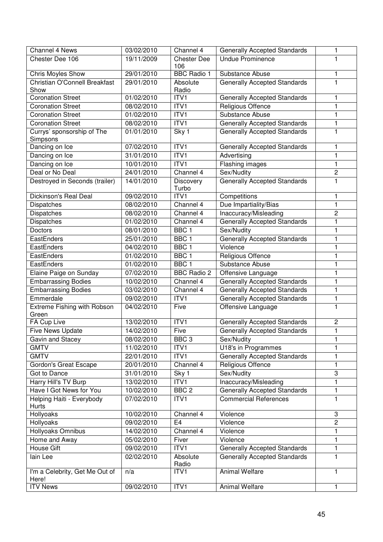| Channel 4 News                          | 03/02/2010 | Channel 4                 | <b>Generally Accepted Standards</b> | 1              |
|-----------------------------------------|------------|---------------------------|-------------------------------------|----------------|
| Chester Dee 106                         | 19/11/2009 | <b>Chester Dee</b><br>106 | <b>Undue Prominence</b>             | 1              |
| Chris Moyles Show                       | 29/01/2010 | <b>BBC Radio 1</b>        | Substance Abuse                     | 1              |
| Christian O'Connell Breakfast<br>Show   | 29/01/2010 | Absolute<br>Radio         | <b>Generally Accepted Standards</b> | 1              |
| <b>Coronation Street</b>                | 01/02/2010 | ITV1                      | <b>Generally Accepted Standards</b> | 1              |
| <b>Coronation Street</b>                | 08/02/2010 | ITV1                      | Religious Offence                   | 1              |
| <b>Coronation Street</b>                | 01/02/2010 | ITVI                      | Substance Abuse                     | 1              |
| <b>Coronation Street</b>                | 08/02/2010 | ITV1                      | <b>Generally Accepted Standards</b> | 1              |
| Currys' sponsorship of The<br>Simpsons  | 01/01/2010 | Sky 1                     | <b>Generally Accepted Standards</b> | 1              |
| Dancing on Ice                          | 07/02/2010 | ITV1                      | <b>Generally Accepted Standards</b> | 1              |
| Dancing on Ice                          | 31/01/2010 | ITV1                      | Advertising                         | 1              |
| Dancing on Ice                          | 10/01/2010 | ITV <sub>1</sub>          | Flashing images                     | 1              |
| Deal or No Deal                         | 24/01/2010 | Channel 4                 | Sex/Nudity                          | $\overline{2}$ |
| Destroyed in Seconds (trailer)          | 14/01/2010 | <b>Discovery</b><br>Turbo | <b>Generally Accepted Standards</b> | 1              |
| Dickinson's Real Deal                   | 09/02/2010 | ITVI                      | Competitions                        | 1              |
| <b>Dispatches</b>                       | 08/02/2010 | Channel 4                 | Due Impartiality/Bias               | 1              |
| Dispatches                              | 08/02/2010 | Channel 4                 | Inaccuracy/Misleading               | $\overline{2}$ |
| Dispatches                              | 01/02/2010 | Channel 4                 | <b>Generally Accepted Standards</b> | 1              |
| <b>Doctors</b>                          | 08/01/2010 | BBC <sub>1</sub>          | Sex/Nudity                          | 1              |
| EastEnders                              | 25/01/2010 | BBC <sub>1</sub>          | <b>Generally Accepted Standards</b> | 1              |
| EastEnders                              | 04/02/2010 | BBC <sub>1</sub>          | Violence                            | 1              |
| EastEnders                              | 01/02/2010 | BBC <sub>1</sub>          | Religious Offence                   | 1              |
| EastEnders                              | 01/02/2010 | BBC <sub>1</sub>          | Substance Abuse                     | 1              |
| Elaine Paige on Sunday                  | 07/02/2010 | <b>BBC Radio 2</b>        | Offensive Language                  | 1              |
| <b>Embarrassing Bodies</b>              | 10/02/2010 | Channel 4                 | <b>Generally Accepted Standards</b> | 1              |
| <b>Embarrassing Bodies</b>              | 03/02/2010 | Channel 4                 | <b>Generally Accepted Standards</b> | 1              |
| Emmerdale                               | 09/02/2010 | ITV1                      | <b>Generally Accepted Standards</b> | 1              |
| Extreme Fishing with Robson<br>Green    | 04/02/2010 | Five                      | Offensive Language                  | 1              |
| FA Cup Live                             | 13/02/2010 | ITVI                      | <b>Generally Accepted Standards</b> | $\overline{c}$ |
| Five News Update                        | 14/02/2010 | Five                      | <b>Generally Accepted Standards</b> | 1              |
| Gavin and Stacey                        | 08/02/2010 | BBC <sub>3</sub>          | Sex/Nudity                          | 1              |
| <b>GMTV</b>                             | 11/02/2010 | ITV1                      | U18's in Programmes                 | 1              |
| <b>GMTV</b>                             | 22/01/2010 | ITV1                      | <b>Generally Accepted Standards</b> | 1              |
| Gordon's Great Escape                   | 20/01/2010 | Channel 4                 | Religious Offence                   | $\mathbf{1}$   |
| Got to Dance                            | 31/01/2010 | Sky 1                     | Sex/Nudity                          | 3              |
| Harry Hill's TV Burp                    | 13/02/2010 | ITV1                      | Inaccuracy/Misleading               | 1              |
| Have I Got News for You                 | 10/02/2010 | BBC <sub>2</sub>          | <b>Generally Accepted Standards</b> | 1              |
| Helping Haiti - Everybody<br>Hurts      | 07/02/2010 | ITV1                      | <b>Commercial References</b>        | $\mathbf{1}$   |
| Hollyoaks                               | 10/02/2010 | Channel 4                 | Violence                            | 3              |
| Hollyoaks                               | 09/02/2010 | E <sub>4</sub>            | Violence                            | $\overline{2}$ |
| Hollyoaks Omnibus                       | 14/02/2010 | Channel 4                 | Violence                            | 1              |
| Home and Away                           | 05/02/2010 | Fiver                     | Violence                            | 1              |
| House Gift                              | 09/02/2010 | ITV1                      | <b>Generally Accepted Standards</b> | 1              |
| lain Lee                                | 02/02/2010 | Absolute<br>Radio         | <b>Generally Accepted Standards</b> | 1              |
| I'm a Celebrity, Get Me Out of<br>Here! | n/a        | ITV1                      | <b>Animal Welfare</b>               | 1              |
| <b>ITV News</b>                         | 09/02/2010 | ITV1                      | Animal Welfare                      | 1              |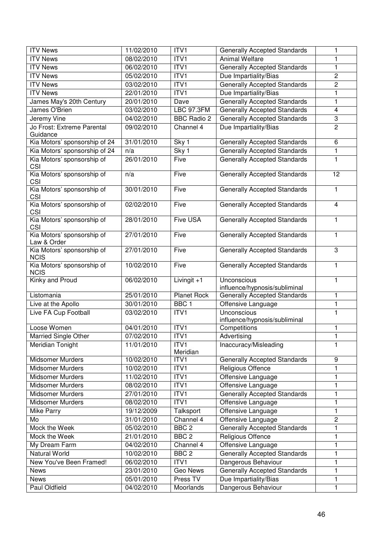| <b>ITV News</b>                           | 11/02/2010 | ITV1               | <b>Generally Accepted Standards</b>          | 1                       |
|-------------------------------------------|------------|--------------------|----------------------------------------------|-------------------------|
| <b>ITV News</b>                           | 08/02/2010 | ITV1               | <b>Animal Welfare</b>                        | 1                       |
| <b>ITV News</b>                           | 06/02/2010 | ITV1               | <b>Generally Accepted Standards</b>          | $\mathbf{1}$            |
| <b>ITV News</b>                           | 05/02/2010 | ITV <sub>1</sub>   | Due Impartiality/Bias                        | $\overline{2}$          |
| <b>ITV News</b>                           | 03/02/2010 | ITV <sub>1</sub>   | <b>Generally Accepted Standards</b>          | $\overline{2}$          |
| <b>ITV News</b>                           | 22/01/2010 | ITV <sub>1</sub>   | Due Impartiality/Bias                        | 1                       |
| James May's 20th Century                  | 20/01/2010 | Dave               | <b>Generally Accepted Standards</b>          | $\mathbf{1}$            |
| James O'Brien                             | 03/02/2010 | LBC 97.3FM         | <b>Generally Accepted Standards</b>          | $\overline{\mathbf{4}}$ |
| Jeremy Vine                               | 04/02/2010 | <b>BBC Radio 2</b> | <b>Generally Accepted Standards</b>          | 3                       |
| Jo Frost: Extreme Parental                | 09/02/2010 | Channel 4          | Due Impartiality/Bias                        | $\overline{2}$          |
| Guidance                                  |            |                    |                                              |                         |
| Kia Motors' sponsorship of 24             | 31/01/2010 | Sky 1              | <b>Generally Accepted Standards</b>          | $\overline{6}$          |
| Kia Motors' sponsorship of 24             | n/a        | Sky 1              | <b>Generally Accepted Standards</b>          | 1                       |
| Kia Motors' sponsorship of                | 26/01/2010 | Five               | <b>Generally Accepted Standards</b>          | $\mathbf{1}$            |
| CSI                                       |            |                    |                                              |                         |
| Kia Motors' sponsorship of<br>CSI         | n/a        | Five               | <b>Generally Accepted Standards</b>          | 12                      |
| Kia Motors' sponsorship of<br>CSI         | 30/01/2010 | Five               | <b>Generally Accepted Standards</b>          | $\mathbf{1}$            |
| Kia Motors' sponsorship of<br>CSI         | 02/02/2010 | Five               | <b>Generally Accepted Standards</b>          | $\overline{4}$          |
| Kia Motors' sponsorship of<br>CSI         | 28/01/2010 | <b>Five USA</b>    | <b>Generally Accepted Standards</b>          | $\mathbf{1}$            |
| Kia Motors' sponsorship of<br>Law & Order | 27/01/2010 | Five               | <b>Generally Accepted Standards</b>          | $\blacksquare$          |
| Kia Motors' sponsorship of<br><b>NCIS</b> | 27/01/2010 | Five               | <b>Generally Accepted Standards</b>          | 3                       |
| Kia Motors' sponsorship of<br><b>NCIS</b> | 10/02/2010 | Five               | <b>Generally Accepted Standards</b>          | $\mathbf{1}$            |
| Kinky and Proud                           | 06/02/2010 | Livingit +1        | Unconscious<br>influence/hypnosis/subliminal | 1                       |
| Listomania                                | 25/01/2010 | <b>Planet Rock</b> | <b>Generally Accepted Standards</b>          | 1                       |
| Live at the Apollo                        | 30/01/2010 | BBC <sub>1</sub>   | Offensive Language                           | 1                       |
| Live FA Cup Football                      | 03/02/2010 | ITV1               | Unconscious<br>influence/hypnosis/subliminal | $\blacksquare$          |
| Loose Women                               | 04/01/2010 | $\overline{IV}1$   | Competitions                                 | 1                       |
| Married Single Other                      | 07/02/2010 | ITVI               | Advertising                                  | 1                       |
| Meridian Tonight                          | 11/01/2010 | ITV1               | Inaccuracy/Misleading                        | $\mathbf{1}$            |
|                                           |            | Meridian           |                                              |                         |
| Midsomer Murders                          | 10/02/2010 | ITV1               | <b>Generally Accepted Standards</b>          | $\boldsymbol{9}$        |
| <b>Midsomer Murders</b>                   | 10/02/2010 | ITV1               | Religious Offence                            | $\mathbf{1}$            |
| <b>Midsomer Murders</b>                   | 11/02/2010 | ITV <sub>1</sub>   | Offensive Language                           | 1                       |
| <b>Midsomer Murders</b>                   | 08/02/2010 | ITV1               | Offensive Language                           | $\mathbf{1}$            |
| <b>Midsomer Murders</b>                   | 27/01/2010 | ITV1               | <b>Generally Accepted Standards</b>          | 1                       |
| <b>Midsomer Murders</b>                   | 08/02/2010 | ITV1               | Offensive Language                           | 1                       |
| <b>Mike Parry</b>                         | 19/12/2009 | Talksport          | Offensive Language                           | $\mathbf{1}$            |
| Mo                                        | 31/01/2010 | Channel 4          | Offensive Language                           | $\overline{c}$          |
| Mock the Week                             | 05/02/2010 | BBC <sub>2</sub>   | <b>Generally Accepted Standards</b>          | $\mathbf{1}$            |
| Mock the Week                             | 21/01/2010 | BBC <sub>2</sub>   | Religious Offence                            | 1                       |
| My Dream Farm                             | 04/02/2010 | Channel 4          | Offensive Language                           | 1                       |
| <b>Natural World</b>                      | 10/02/2010 | BBC <sub>2</sub>   | <b>Generally Accepted Standards</b>          | 1                       |
| New You've Been Framed!                   | 06/02/2010 | ITV <sub>1</sub>   | Dangerous Behaviour                          | 1                       |
| <b>News</b>                               | 23/01/2010 | Geo News           | <b>Generally Accepted Standards</b>          | 1                       |
| <b>News</b>                               | 05/01/2010 | Press TV           | Due Impartiality/Bias                        | 1                       |
| Paul Oldfield                             | 04/02/2010 | Moorlands          | Dangerous Behaviour                          | 1                       |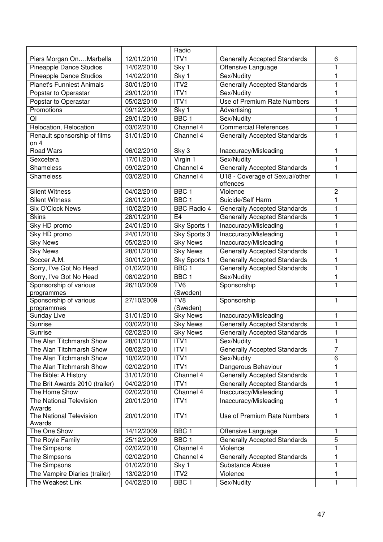|                                          |            | Radio                       |                                     |                |
|------------------------------------------|------------|-----------------------------|-------------------------------------|----------------|
| Piers Morgan OnMarbella                  | 12/01/2010 | ITV1                        | <b>Generally Accepted Standards</b> | 6              |
| <b>Pineapple Dance Studios</b>           | 14/02/2010 | Sky 1                       | Offensive Language                  | 1              |
| <b>Pineapple Dance Studios</b>           | 14/02/2010 | Sky 1                       | Sex/Nudity                          | 1              |
| <b>Planet's Funniest Animals</b>         | 30/01/2010 | ITV <sub>2</sub>            | <b>Generally Accepted Standards</b> | 1              |
| Popstar to Operastar                     | 29/01/2010 | ITV1                        | Sex/Nudity                          | 1              |
| Popstar to Operastar                     | 05/02/2010 | ITV1                        | Use of Premium Rate Numbers         | 1              |
| Promotions                               | 09/12/2009 | Sky 1                       | Advertising                         | 1              |
| QI                                       | 29/01/2010 | BBC <sub>1</sub>            | Sex/Nudity                          | 1              |
| Relocation, Relocation                   | 03/02/2010 | Channel 4                   | <b>Commercial References</b>        | 1              |
| Renault sponsorship of films             | 31/01/2010 | Channel 4                   | <b>Generally Accepted Standards</b> | 1              |
| on <sub>4</sub>                          |            |                             |                                     |                |
| <b>Road Wars</b>                         | 06/02/2010 | Sky 3                       | Inaccuracy/Misleading               | 1              |
| Sexcetera                                | 17/01/2010 | Virgin 1                    | Sex/Nudity                          | $\mathbf{1}$   |
| Shameless                                | 09/02/2010 | Channel 4                   | <b>Generally Accepted Standards</b> | 1              |
| Shameless                                | 03/02/2010 | Channel 4                   | U18 - Coverage of Sexual/other      | 1              |
|                                          |            |                             | offences                            |                |
| <b>Silent Witness</b>                    | 04/02/2010 | BBC <sub>1</sub>            | Violence                            | $\overline{2}$ |
| <b>Silent Witness</b>                    | 28/01/2010 | BBC <sub>1</sub>            | Suicide/Self Harm                   | 1              |
| <b>Six O'Clock News</b>                  | 10/02/2010 | <b>BBC Radio 4</b>          | <b>Generally Accepted Standards</b> | 1              |
| <b>Skins</b>                             | 28/01/2010 | E4                          | <b>Generally Accepted Standards</b> | 1              |
| Sky HD promo                             | 24/01/2010 | Sky Sports 1                | Inaccuracy/Misleading               | 1              |
| Sky HD promo                             | 24/01/2010 | Sky Sports 3                | Inaccuracy/Misleading               | 1              |
| <b>Sky News</b>                          | 05/02/2010 | <b>Sky News</b>             | Inaccuracy/Misleading               | 1              |
| <b>Sky News</b>                          | 28/01/2010 | <b>Sky News</b>             | <b>Generally Accepted Standards</b> | 1              |
| Soccer A.M.                              | 30/01/2010 | Sky Sports 1                | <b>Generally Accepted Standards</b> | 1              |
| Sorry, I've Got No Head                  | 01/02/2010 | BBC <sub>1</sub>            | <b>Generally Accepted Standards</b> | $\mathbf{1}$   |
| Sorry, I've Got No Head                  | 08/02/2010 | BBC <sub>1</sub>            | Sex/Nudity                          | 1              |
| Sponsorship of various<br>programmes     | 26/10/2009 | TV <sub>6</sub><br>(Sweden) | Sponsorship                         | 1              |
| Sponsorship of various                   | 27/10/2009 | TV8                         | Sponsorship                         | 1              |
| programmes                               |            | (Sweden)                    |                                     |                |
| <b>Sunday Live</b>                       | 31/01/2010 | <b>Sky News</b>             | Inaccuracy/Misleading               | 1              |
| Sunrise                                  | 03/02/2010 | <b>Sky News</b>             | <b>Generally Accepted Standards</b> | 1              |
| Sunrise                                  | 02/02/2010 | <b>Sky News</b>             | <b>Generally Accepted Standards</b> | 1              |
| The Alan Titchmarsh Show                 | 28/01/2010 | ITV1                        | Sex/Nudity                          | 1              |
| The Alan Titchmarsh Show                 | 08/02/2010 | ITV1                        | <b>Generally Accepted Standards</b> | $\overline{7}$ |
| The Alan Titchmarsh Show                 | 10/02/2010 | ITV1                        | Sex/Nudity                          | 6              |
| The Alan Titchmarsh Show                 | 02/02/2010 | ITV1                        | Dangerous Behaviour                 | 1              |
| The Bible: A History                     | 31/01/2010 | Channel 4                   | <b>Generally Accepted Standards</b> | 1              |
| The Brit Awards 2010 (trailer)           | 04/02/2010 | ITV1                        | <b>Generally Accepted Standards</b> | 1              |
| The Home Show                            | 02/02/2010 | Channel 4                   | Inaccuracy/Misleading               | 1              |
| <b>The National Television</b>           | 20/01/2010 | ITV1                        | Inaccuracy/Misleading               | 1              |
| Awards                                   |            |                             |                                     |                |
| <b>The National Television</b><br>Awards | 20/01/2010 | ITVI                        | Use of Premium Rate Numbers         | $\mathbf{1}$   |
| The One Show                             | 14/12/2009 | BBC <sub>1</sub>            | Offensive Language                  | 1              |
| The Royle Family                         | 25/12/2009 | BBC <sub>1</sub>            | <b>Generally Accepted Standards</b> | $\overline{5}$ |
| The Simpsons                             | 02/02/2010 | Channel 4                   | Violence                            | 1              |
| The Simpsons                             | 02/02/2010 | Channel 4                   | <b>Generally Accepted Standards</b> | 1              |
| The Simpsons                             | 01/02/2010 | Sky 1                       | Substance Abuse                     | 1              |
| The Vampire Diaries (trailer)            | 13/02/2010 | ITV <sub>2</sub>            | Violence                            | 1              |
| The Weakest Link                         | 04/02/2010 | BBC 1                       | Sex/Nudity                          | 1              |
|                                          |            |                             |                                     |                |